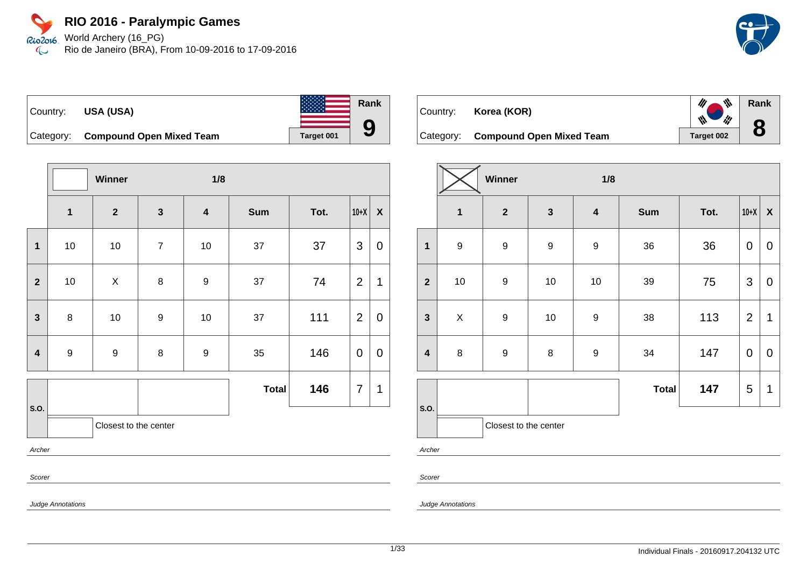World Archery (16\_PG) Rio2016 Rio de Janeiro (BRA), From 10-09-2016 to 17-09-2016  $\mathbb{C}$ 



**Rank**

 $\frac{d\mu}{d\mu}$ 

W

 $\mathscr{U}$ 

**8**

# Country: **USA (USA)**



Category: **Compound Open Mixed Team Target 001** 

|                         |                          | Winner                |                | 1/8                     |              |      |                |                  |  |
|-------------------------|--------------------------|-----------------------|----------------|-------------------------|--------------|------|----------------|------------------|--|
|                         | $\mathbf{1}$             | $\mathbf{2}$          | $\mathbf{3}$   | $\overline{\mathbf{4}}$ | <b>Sum</b>   | Tot. | $10+X$         | $\boldsymbol{X}$ |  |
| $\mathbf 1$             | $10$                     | 10                    | $\overline{7}$ | $10$                    | 37           | 37   | 3              | 0                |  |
| $\mathbf{2}$            | $10\,$                   | X                     | 8              | $\boldsymbol{9}$        | 37           | 74   | $\overline{2}$ | 1                |  |
| $\mathbf{3}$            | $\bf 8$                  | 10                    | 9              | 10                      | 37           | 111  | $\overline{2}$ | 0                |  |
| $\overline{\mathbf{4}}$ | $\boldsymbol{9}$         | 9                     | 8              | $\boldsymbol{9}$        | 35           | 146  | 0              | 0                |  |
|                         |                          |                       |                |                         | <b>Total</b> | 146  | $\overline{7}$ | 1                |  |
| S.O.                    |                          | Closest to the center |                |                         |              |      |                |                  |  |
| Archer                  |                          |                       |                |                         |              |      |                |                  |  |
| Scorer                  |                          |                       |                |                         |              |      |                |                  |  |
|                         | <b>Judge Annotations</b> |                       |                |                         |              |      |                |                  |  |

| Country: Korea (KOR) |  |  |
|----------------------|--|--|
|                      |  |  |

Category: **Compound Open Mixed Team** Target 002

|                         |                  | Winner                |                  | 1/8                     |              |      |                           |              |
|-------------------------|------------------|-----------------------|------------------|-------------------------|--------------|------|---------------------------|--------------|
|                         | $\mathbf{1}$     | $\mathbf{2}$          | $\mathbf{3}$     | $\overline{\mathbf{4}}$ | <b>Sum</b>   | Tot. | $10+X$                    | $\pmb{\chi}$ |
| 1                       | $\boldsymbol{9}$ | $\boldsymbol{9}$      | $\boldsymbol{9}$ | $\boldsymbol{9}$        | 36           | 36   | $\mathbf 0$               | $\mathbf 0$  |
| $\overline{2}$          | $10$             | $\boldsymbol{9}$      | $10$             | $10$                    | 39           | 75   | $\ensuremath{\mathsf{3}}$ | $\pmb{0}$    |
| $\mathbf{3}$            | $\mathsf X$      | $\boldsymbol{9}$      | $10$             | $\boldsymbol{9}$        | 38           | 113  | $\overline{2}$            | 1            |
| $\overline{\mathbf{4}}$ | $\bf 8$          | $\boldsymbol{9}$      | 8                | $\boldsymbol{9}$        | 34           | 147  | $\mathbf 0$               | $\mathbf 0$  |
|                         |                  |                       |                  |                         | <b>Total</b> | 147  | 5                         | 1            |
| S.O.                    |                  | Closest to the center |                  |                         |              |      |                           |              |

Archer

Scorer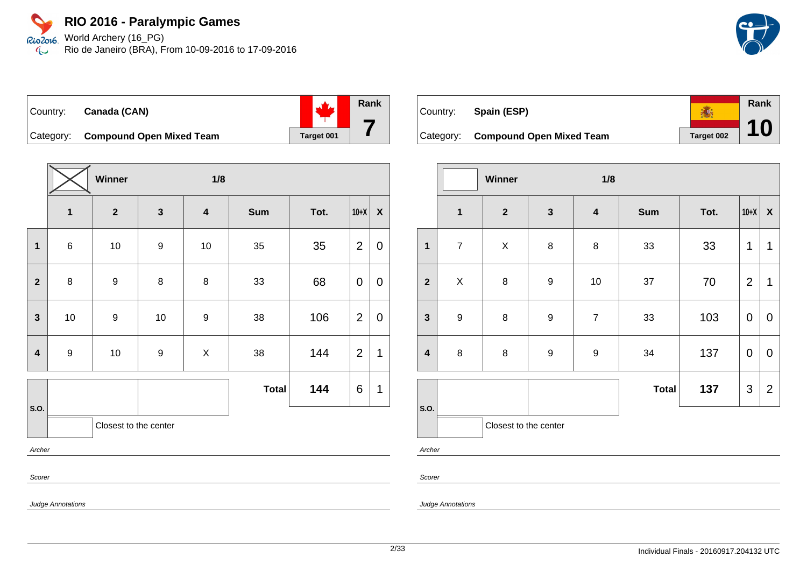World Archery (16\_PG) Rio2016 Rio de Janeiro (BRA), From 10-09-2016 to 17-09-2016  $\mathbb{C}$ 



Country: **Canada (CAN)**



Category: **Compound Open Mixed Team Target 001** 

|                         | Winner<br>1/8    |                       |                  |                         |              |      |                |                    |  |  |
|-------------------------|------------------|-----------------------|------------------|-------------------------|--------------|------|----------------|--------------------|--|--|
|                         | $\mathbf 1$      | $\mathbf{2}$          | $\mathbf{3}$     | $\overline{\mathbf{4}}$ | <b>Sum</b>   | Tot. | $10+X$         | $\pmb{\mathsf{X}}$ |  |  |
| $\mathbf{1}$            | $\,6$            | $10\,$                | 9                | $10$                    | $35\,$       | 35   | $\overline{2}$ | 0                  |  |  |
| $\mathbf{2}$            | $\bf 8$          | $\boldsymbol{9}$      | 8                | $\bf 8$                 | 33           | 68   | 0              | 0                  |  |  |
| $\mathbf{3}$            | 10               | $\boldsymbol{9}$      | 10               | $\boldsymbol{9}$        | 38           | 106  | $\overline{2}$ | 0                  |  |  |
| $\overline{\mathbf{4}}$ | $\boldsymbol{9}$ | $10$                  | $\boldsymbol{9}$ | X                       | 38           | 144  | $\overline{2}$ | 1                  |  |  |
|                         |                  |                       |                  |                         | <b>Total</b> | 144  | 6              | 1                  |  |  |
| S.O.                    |                  | Closest to the center |                  |                         |              |      |                |                    |  |  |
|                         | Archer           |                       |                  |                         |              |      |                |                    |  |  |
|                         | Scorer           |                       |                  |                         |              |      |                |                    |  |  |

**Rank** ● Country: **Spain (ESP) 10** Category: **Compound Open Mixed Team** Target 002

|                         |                  | Winner                |                  | 1/8                     |              |      |                |                    |  |
|-------------------------|------------------|-----------------------|------------------|-------------------------|--------------|------|----------------|--------------------|--|
|                         | $\mathbf{1}$     | $\mathbf{2}$          | $\mathbf{3}$     | $\overline{\mathbf{4}}$ | <b>Sum</b>   | Tot. | $10+X$         | $\pmb{\mathsf{X}}$ |  |
| $\mathbf{1}$            | $\overline{7}$   | $\pmb{\times}$        | 8                | $\bf 8$                 | 33           | 33   | 1              | 1                  |  |
| $\overline{\mathbf{2}}$ | $\mathsf X$      | 8                     | $\boldsymbol{9}$ | $10$                    | 37           | 70   | $\overline{2}$ | $\mathbf 1$        |  |
| $\mathbf{3}$            | $\boldsymbol{9}$ | $\bf 8$               | $\boldsymbol{9}$ | $\overline{7}$          | 33           | 103  | $\mathbf 0$    | $\mathbf 0$        |  |
| $\overline{\mathbf{4}}$ | 8                | 8                     | $\boldsymbol{9}$ | $\boldsymbol{9}$        | 34           | 137  | $\pmb{0}$      | $\mathbf 0$        |  |
|                         |                  |                       |                  |                         | <b>Total</b> | 137  | $\mathfrak{S}$ | $\overline{2}$     |  |
| S.O.                    |                  | Closest to the center |                  |                         |              |      |                |                    |  |
| Archer                  |                  |                       |                  |                         |              |      |                |                    |  |

Archer

Scorer

Judge Annotations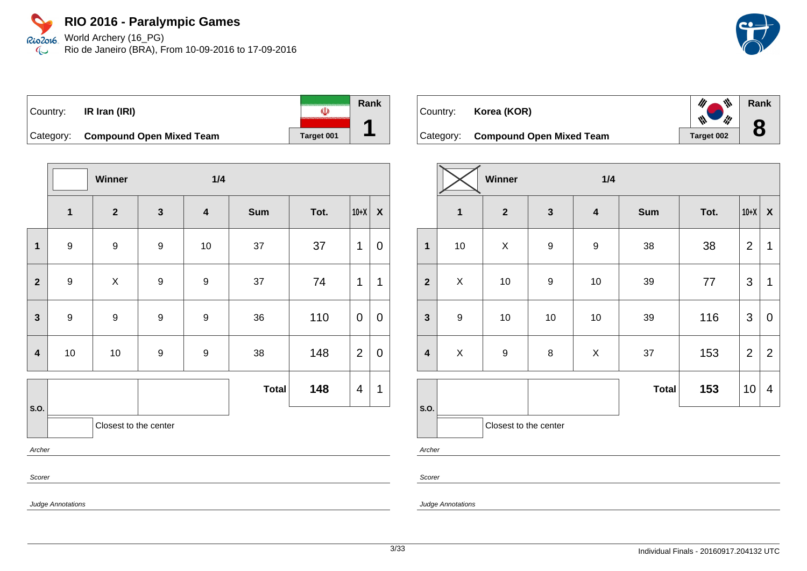Rio2o16 World Archery (16\_PG) Rio de Janeiro (BRA), From 10-09-2016 to 17-09-2016  $\infty$ 

| Country:  | IR Iran (IRI)                   |            | Rank |
|-----------|---------------------------------|------------|------|
| Category: | <b>Compound Open Mixed Team</b> | Target 001 |      |

|                         |                         | Winner                  |                  | 1/4                     |              |      |                |                |
|-------------------------|-------------------------|-------------------------|------------------|-------------------------|--------------|------|----------------|----------------|
|                         | $\overline{\mathbf{1}}$ | $\overline{\mathbf{2}}$ | $\mathbf{3}$     | $\overline{\mathbf{4}}$ | <b>Sum</b>   | Tot. | $10+X$         | $\pmb{\chi}$   |
| $\mathbf{1}$            | $\boldsymbol{9}$        | $\boldsymbol{9}$        | $\boldsymbol{9}$ | 10                      | 37           | 37   | 1              | $\overline{0}$ |
| $\overline{2}$          | $\boldsymbol{9}$        | $\mathsf X$             | $\boldsymbol{9}$ | 9                       | 37           | 74   | $\overline{1}$ | 1              |
| $\mathbf{3}$            | $\boldsymbol{9}$        | $\boldsymbol{9}$        | $\boldsymbol{9}$ | $\boldsymbol{9}$        | 36           | 110  | $\mathbf 0$    | $\mathbf 0$    |
| $\overline{\mathbf{4}}$ | $10$                    | $10$                    | $\boldsymbol{9}$ | $\boldsymbol{9}$        | 38           | 148  | $\overline{2}$ | $\pmb{0}$      |
|                         |                         |                         |                  |                         | <b>Total</b> | 148  | 4              | 1              |
| <b>S.O.</b>             |                         | Closest to the center   |                  |                         |              |      |                |                |
| Archer                  |                         |                         |                  |                         |              |      |                |                |
| Scorer                  |                         |                         |                  |                         |              |      |                |                |

Judge Annotations



|                         |                  | Winner                |                  | 1/4                     |              |      |                |                  |
|-------------------------|------------------|-----------------------|------------------|-------------------------|--------------|------|----------------|------------------|
|                         | $\mathbf{1}$     | $\mathbf{2}$          | $\mathbf{3}$     | $\overline{\mathbf{4}}$ | <b>Sum</b>   | Tot. | $10+X$         | $\boldsymbol{X}$ |
| $\mathbf{1}$            | 10               | X                     | $\boldsymbol{9}$ | $\boldsymbol{9}$        | 38           | 38   | $\overline{2}$ | 1                |
| $\mathbf{2}$            | $\pmb{\times}$   | $10$                  | $\boldsymbol{9}$ | 10                      | 39           | 77   | 3              | 1                |
| $\mathbf{3}$            | $\boldsymbol{9}$ | 10                    | $10$             | 10                      | 39           | 116  | 3              | $\mathbf 0$      |
| $\overline{\mathbf{4}}$ | X                | $\boldsymbol{9}$      | 8                | $\pmb{\times}$          | 37           | 153  | $\overline{2}$ | $\overline{2}$   |
|                         |                  |                       |                  |                         | <b>Total</b> | 153  | 10             | 4                |
| S.O.                    |                  | Closest to the center |                  |                         |              |      |                |                  |

Archer

Scorer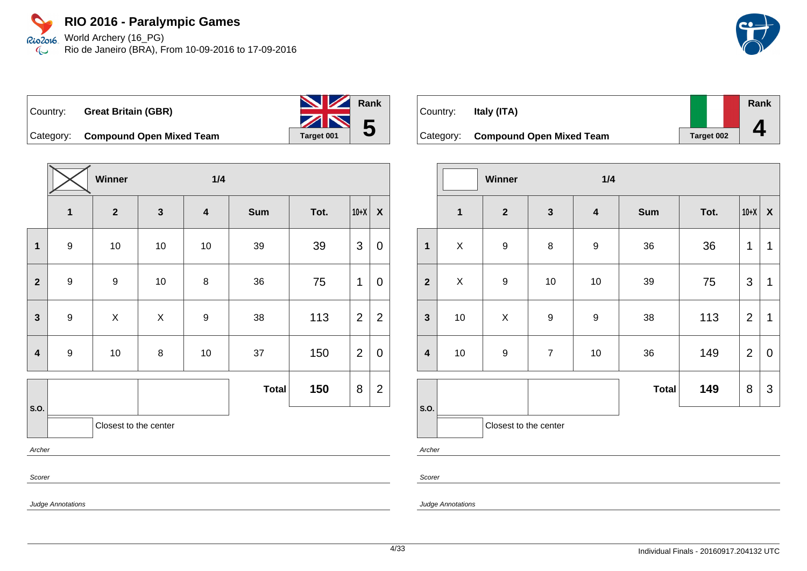#### **RIO 2016 - Paralympic Games** World Archery (16\_PG) Rio2016

Rio de Janeiro (BRA), From 10-09-2016 to 17-09-2016  $\infty$ 



|           | Country: Great Britain (GBR) | <b>NV</b> Rank  |
|-----------|------------------------------|-----------------|
|           |                              | $\frac{1}{2}$ 5 |
| Cotogonic | Compound Open Mived Toam     |                 |

Category: **Compound Open Mixed Team Target 001** 

|                         |                  | Winner                |              |                         |              |      |                |                  |  |  |
|-------------------------|------------------|-----------------------|--------------|-------------------------|--------------|------|----------------|------------------|--|--|
|                         | $\mathbf{1}$     | $\mathbf{2}$          | $\mathbf{3}$ | $\overline{\mathbf{4}}$ | <b>Sum</b>   | Tot. | $10+X$         | $\boldsymbol{X}$ |  |  |
| $\mathbf 1$             | $\boldsymbol{9}$ | 10                    | 10           | 10                      | 39           | 39   | 3              | $\mathbf 0$      |  |  |
| $\mathbf{2}$            | $\boldsymbol{9}$ | $\boldsymbol{9}$      | 10           | 8                       | 36           | 75   | 1              | 0                |  |  |
| 3                       | 9                | Χ                     | X            | $\boldsymbol{9}$        | 38           | 113  | $\overline{2}$ | $\overline{2}$   |  |  |
| $\overline{\mathbf{4}}$ | $\boldsymbol{9}$ | $10$                  | 8            | $10$                    | 37           | 150  | $\overline{2}$ | $\mathbf 0$      |  |  |
|                         |                  |                       |              |                         | <b>Total</b> | 150  | 8              | $\overline{2}$   |  |  |
| S.O.                    |                  | Closest to the center |              |                         |              |      |                |                  |  |  |
|                         | Archer           |                       |              |                         |              |      |                |                  |  |  |
| Scorer                  |                  |                       |              |                         |              |      |                |                  |  |  |

| Country:  | Italy (ITA)                     |            | Rank |
|-----------|---------------------------------|------------|------|
|           |                                 |            |      |
| Category: | <b>Compound Open Mixed Team</b> | Target 002 |      |

|                         |                | Winner                |                  | 1/4              |              |      |                |   |
|-------------------------|----------------|-----------------------|------------------|------------------|--------------|------|----------------|---|
|                         | $\mathbf{1}$   | $\mathbf{2}$          | $\mathbf{3}$     | $\boldsymbol{4}$ | <b>Sum</b>   | Tot. | $10+X$         | X |
| $\mathbf{1}$            | $\pmb{\times}$ | $\boldsymbol{9}$      | 8                | 9                | 36           | 36   | 1              | 1 |
| $\overline{2}$          | X              | $\boldsymbol{9}$      | 10               | 10               | 39           | 75   | $\mathfrak{S}$ | 1 |
| $\mathbf{3}$            | 10             | X                     | $\boldsymbol{9}$ | 9                | 38           | 113  | $\overline{2}$ | 1 |
| $\overline{\mathbf{4}}$ | 10             | $\boldsymbol{9}$      | $\overline{7}$   | 10               | 36           | 149  | $\overline{2}$ | 0 |
|                         |                |                       |                  |                  | <b>Total</b> | 149  | 8              | 3 |
| S.O.                    |                | Closest to the center |                  |                  |              |      |                |   |

Archer

Scorer

Judge Annotations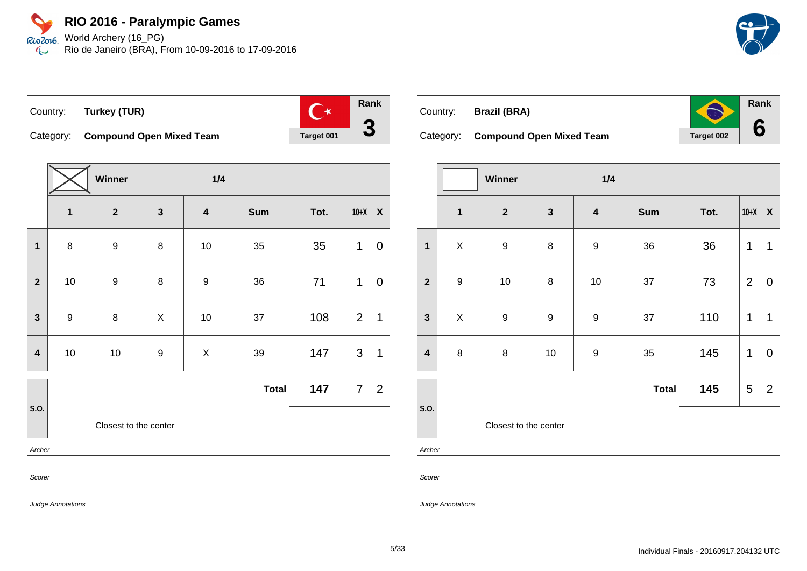World Archery (16\_PG) Rio2016 Rio de Janeiro (BRA), From 10-09-2016 to 17-09-2016  $\mathbb{C}$ 



**Rank**

 $\bigodot$ 

**6**

Country: **Turkey (TUR)**



Category: **Compound Open Mixed Team Target 001** 

|                         |                         | Winner<br>1/4         |                  |                         |              |      |                |                |  |
|-------------------------|-------------------------|-----------------------|------------------|-------------------------|--------------|------|----------------|----------------|--|
|                         | $\overline{\mathbf{1}}$ | $\mathbf{2}$          | $\mathbf{3}$     | $\overline{\mathbf{4}}$ | <b>Sum</b>   | Tot. | $10+X$         | $\pmb{\chi}$   |  |
| $\mathbf 1$             | 8                       | $\boldsymbol{9}$      | $\,8\,$          | 10                      | 35           | 35   | 1              | 0              |  |
| $\overline{2}$          | $10$                    | $\boldsymbol{9}$      | $\bf 8$          | $\boldsymbol{9}$        | $36\,$       | 71   | 1              | $\mathbf 0$    |  |
| 3                       | $\boldsymbol{9}$        | $\bf 8$               | X                | $10$                    | 37           | 108  | $\overline{2}$ | 1              |  |
| $\overline{\mathbf{4}}$ | $10$                    | $10$                  | $\boldsymbol{9}$ | $\pmb{\times}$          | $39\,$       | 147  | 3              | 1              |  |
|                         |                         |                       |                  |                         | <b>Total</b> | 147  | 7              | $\overline{2}$ |  |
| S.O.                    |                         | Closest to the center |                  |                         |              |      |                |                |  |
|                         | Archer                  |                       |                  |                         |              |      |                |                |  |
| Scorer                  |                         |                       |                  |                         |              |      |                |                |  |



Category: **Compound Open Mixed Team** Target 002

|                         |                         | <b>Winner</b>         |                  | 1/4                     |              |      |                |                           |
|-------------------------|-------------------------|-----------------------|------------------|-------------------------|--------------|------|----------------|---------------------------|
|                         | $\overline{\mathbf{1}}$ | $\mathbf{2}$          | $\mathbf{3}$     | $\overline{\mathbf{4}}$ | <b>Sum</b>   | Tot. | $10+X$         | $\boldsymbol{\mathsf{X}}$ |
| $\overline{1}$          | $\mathsf X$             | $\boldsymbol{9}$      | 8                | $\boldsymbol{9}$        | 36           | 36   | 1              | 1                         |
| $\overline{2}$          | 9                       | 10                    | $\bf 8$          | 10                      | 37           | 73   | $\overline{2}$ | $\mathbf 0$               |
| $\mathbf{3}$            | X                       | $\boldsymbol{9}$      | $\boldsymbol{9}$ | $\boldsymbol{9}$        | 37           | 110  | 1              | 1                         |
| $\overline{\mathbf{4}}$ | $\bf 8$                 | $\bf 8$               | $10$             | $\boldsymbol{9}$        | 35           | 145  | 1              | $\mathbf 0$               |
|                         |                         |                       |                  |                         | <b>Total</b> | 145  | 5              | $\overline{2}$            |
| S.O.                    |                         | Closest to the center |                  |                         |              |      |                |                           |

Archer

Scorer

Judge Annotations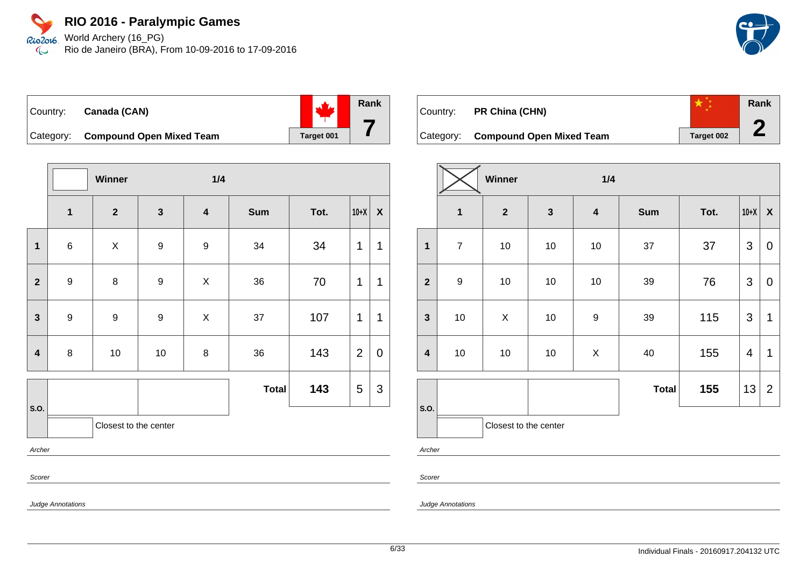Rio2o16, World Archery (16\_PG) Rio de Janeiro (BRA), From 10-09-2016 to 17-09-2016  $\infty$ 



| Country: Canada (CAN)              |            |
|------------------------------------|------------|
| Category: Compound Open Mixed Team | Target 001 |

|                         |                  | Winner                |                  | 1/4                     |              |      |                |                    |
|-------------------------|------------------|-----------------------|------------------|-------------------------|--------------|------|----------------|--------------------|
|                         | $\mathbf{1}$     | $\mathbf{2}$          | $\mathbf{3}$     | $\overline{\mathbf{4}}$ | <b>Sum</b>   | Tot. | $10+X$         | $\pmb{\mathsf{X}}$ |
| $\mathbf 1$             | $\,6$            | $\mathsf X$           | $\boldsymbol{9}$ | $\boldsymbol{9}$        | 34           | 34   | 1              | 1                  |
| $\mathbf{2}$            | $\boldsymbol{9}$ | 8                     | 9                | $\mathsf X$             | 36           | 70   | 1              | 1                  |
| $\mathbf{3}$            | $\boldsymbol{9}$ | $\boldsymbol{9}$      | $\boldsymbol{9}$ | $\mathsf X$             | 37           | 107  | 1              | 1                  |
| $\overline{\mathbf{4}}$ | $\bf 8$          | $10$                  | 10               | 8                       | 36           | 143  | $\overline{2}$ | $\mathbf 0$        |
| S.O.                    |                  |                       |                  |                         | <b>Total</b> | 143  | 5              | $\sqrt{3}$         |
|                         |                  | Closest to the center |                  |                         |              |      |                |                    |
| Archer                  |                  |                       |                  |                         |              |      |                |                    |
| Scorer                  |                  |                       |                  |                         |              |      |                |                    |

| Country: | <b>PR China (CHN)</b>              |                   | Rank |
|----------|------------------------------------|-------------------|------|
|          |                                    |                   |      |
|          | Category: Compound Open Mixed Team | <b>Target 002</b> |      |

|                         | Winner<br>1/4    |                       |              |                         |              |      |                         |                  |
|-------------------------|------------------|-----------------------|--------------|-------------------------|--------------|------|-------------------------|------------------|
|                         | $\mathbf 1$      | $\mathbf{2}$          | $\mathbf{3}$ | $\overline{\mathbf{4}}$ | <b>Sum</b>   | Tot. | $10+X$                  | $\boldsymbol{X}$ |
| $\mathbf{1}$            | $\overline{7}$   | 10                    | 10           | 10                      | 37           | 37   | 3                       | $\mathbf 0$      |
| $\overline{2}$          | $\boldsymbol{9}$ | 10                    | 10           | 10                      | 39           | 76   | $\mathfrak{S}$          | $\mathbf 0$      |
| $\mathbf{3}$            | $10\,$           | X                     | 10           | $\boldsymbol{9}$        | 39           | 115  | $\mathfrak{S}$          | $\mathbf 1$      |
| $\overline{\mathbf{4}}$ | 10               | 10                    | 10           | X                       | 40           | 155  | $\overline{\mathbf{4}}$ | 1                |
|                         |                  |                       |              |                         | <b>Total</b> | 155  | 13                      | 2                |
| S.O.                    |                  | Closest to the center |              |                         |              |      |                         |                  |

Archer

Scorer

Judge Annotations

Judge Annotations

**Rank**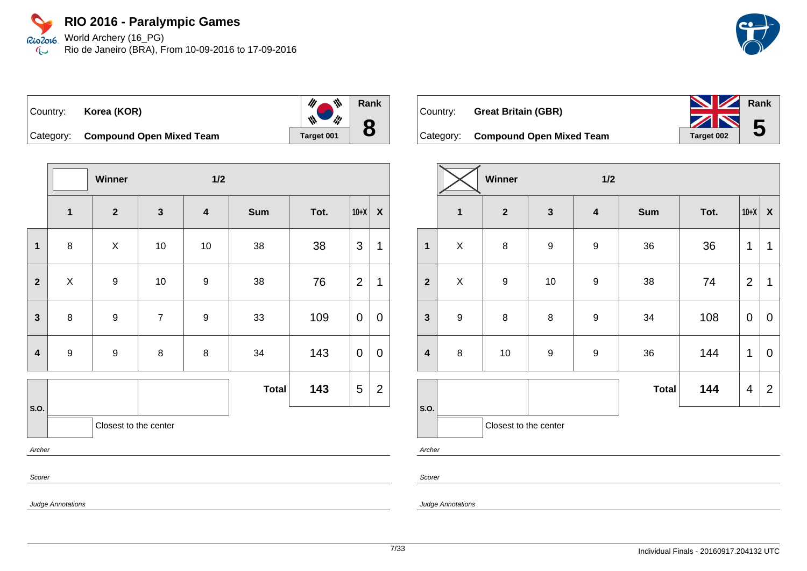World Archery (16\_PG) Rio2016 Rio de Janeiro (BRA), From 10-09-2016 to 17-09-2016  $\mathbb{C}$ 





 $\frac{d\mu}{dt}$ **Rank**  $\frac{1}{2}$ **8**

Category: **Compound Open Mixed Team** Target 001

|                         |                          | Winner                |                | $1/2$                   |              |      |                |                    |  |  |
|-------------------------|--------------------------|-----------------------|----------------|-------------------------|--------------|------|----------------|--------------------|--|--|
|                         | $\overline{\mathbf{1}}$  | $\mathbf{2}$          | $\mathbf{3}$   | $\overline{\mathbf{4}}$ | <b>Sum</b>   | Tot. | $10+X$         | $\pmb{\mathsf{X}}$ |  |  |
| $\mathbf{1}$            | 8                        | X                     | $10$           | $10$                    | 38           | 38   | 3              | 1                  |  |  |
| $\mathbf{2}$            | $\mathsf{X}$             | 9                     | $10$           | $\boldsymbol{9}$        | 38           | 76   | $\overline{2}$ | 1                  |  |  |
| $\mathbf{3}$            | 8                        | 9                     | $\overline{7}$ | $\boldsymbol{9}$        | 33           | 109  | 0              | 0                  |  |  |
| $\overline{\mathbf{4}}$ | $\boldsymbol{9}$         | $\boldsymbol{9}$      | 8              | $\bf 8$                 | 34           | 143  | 0              | $\pmb{0}$          |  |  |
|                         |                          |                       |                |                         | <b>Total</b> | 143  | 5              | $\overline{2}$     |  |  |
| S.O.                    |                          | Closest to the center |                |                         |              |      |                |                    |  |  |
|                         | Archer                   |                       |                |                         |              |      |                |                    |  |  |
|                         | Scorer                   |                       |                |                         |              |      |                |                    |  |  |
|                         | <b>Judge Annotations</b> |                       |                |                         |              |      |                |                    |  |  |

| <b>Great Britain (GBR)</b> |  |
|----------------------------|--|
|                            |  |



Category: **Compound Open Mixed Team** Target 002

|                         | Winner<br>1/2    |                       |              |                         |              |      |                |                  |
|-------------------------|------------------|-----------------------|--------------|-------------------------|--------------|------|----------------|------------------|
|                         | $\mathbf{1}$     | $\boldsymbol{2}$      | $\mathbf{3}$ | $\overline{\mathbf{4}}$ | <b>Sum</b>   | Tot. | $10+X$         | $\boldsymbol{X}$ |
| $\mathbf 1$             | X                | $\bf 8$               | 9            | $\boldsymbol{9}$        | 36           | 36   | 1              | 1                |
| $\mathbf{2}$            | $\pmb{\times}$   | $\boldsymbol{9}$      | $10$         | $\boldsymbol{9}$        | 38           | 74   | $\overline{2}$ | 1                |
| $\mathbf{3}$            | $\boldsymbol{9}$ | $\bf 8$               | 8            | $\mathsf g$             | 34           | 108  | $\mathbf 0$    | $\pmb{0}$        |
| $\overline{\mathbf{4}}$ | 8                | 10                    | 9            | $\boldsymbol{9}$        | 36           | 144  | 1              | $\mathbf 0$      |
|                         |                  |                       |              |                         | <b>Total</b> | 144  | 4              | $\overline{2}$   |
| S.O.                    |                  | Closest to the center |              |                         |              |      |                |                  |
| Archer                  |                  |                       |              |                         |              |      |                |                  |

Judge Annotations

Scorer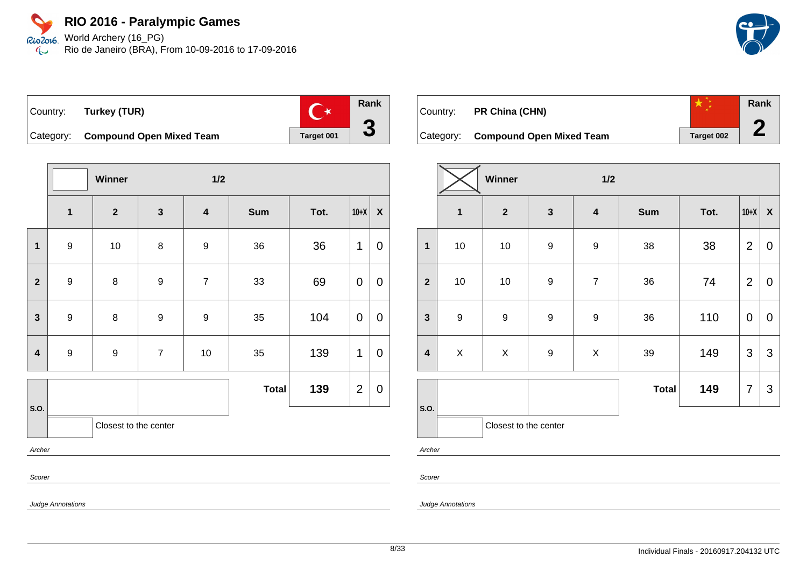Rio2o16 World Archery (16\_PG) Rio de Janeiro (BRA), From 10-09-2016 to 17-09-2016  $\infty$ 



|                         | Winner           |                  | 1/2                     |              |      |                |                  |
|-------------------------|------------------|------------------|-------------------------|--------------|------|----------------|------------------|
| $\overline{\mathbf{1}}$ | $\mathbf{2}$     | $\mathbf{3}$     | $\overline{\mathbf{4}}$ | Sum          | Tot. | $10+X$         | $\boldsymbol{X}$ |
| $\boldsymbol{9}$        | $10$             | 8                | $\boldsymbol{9}$        | 36           | 36   | 1              | $\mathbf 0$      |
| $\boldsymbol{9}$        | 8                | $\boldsymbol{9}$ | $\boldsymbol{7}$        | 33           | 69   | 0              | $\mathbf 0$      |
| $\boldsymbol{9}$        | 8                | $\boldsymbol{9}$ | $\boldsymbol{9}$        | 35           | 104  | 0              | $\mathbf 0$      |
| $\boldsymbol{9}$        | $\boldsymbol{9}$ | $\overline{7}$   | 10                      | 35           | 139  | 1              | $\mathbf 0$      |
|                         |                  |                  |                         | <b>Total</b> | 139  | $\overline{2}$ | $\boldsymbol{0}$ |
|                         |                  |                  |                         |              |      |                |                  |
| Archer                  |                  |                  |                         |              |      |                |                  |
|                         |                  |                  | Closest to the center   |              |      |                |                  |

| Country: | PR China (CHN)                     |            | Rank |
|----------|------------------------------------|------------|------|
|          |                                    |            |      |
|          | Category: Compound Open Mixed Team | Target 002 |      |

|                         | Winner<br>1/2    |                       |                  |                         |              |      |                |                           |
|-------------------------|------------------|-----------------------|------------------|-------------------------|--------------|------|----------------|---------------------------|
|                         | $\mathbf{1}$     | $\mathbf{2}$          | $\mathbf{3}$     | $\overline{\mathbf{4}}$ | <b>Sum</b>   | Tot. | $10+X$         | $\boldsymbol{\mathsf{X}}$ |
| $\mathbf{1}$            | $10$             | 10                    | $\overline{9}$   | $\boldsymbol{9}$        | 38           | 38   | $\overline{2}$ | $\mathbf 0$               |
| $\overline{2}$          | 10               | 10                    | $\boldsymbol{9}$ | $\boldsymbol{7}$        | 36           | 74   | $\overline{2}$ | $\boldsymbol{0}$          |
| $\overline{\mathbf{3}}$ | $\boldsymbol{9}$ | $\boldsymbol{9}$      | $\overline{9}$   | $\boldsymbol{9}$        | 36           | 110  | $\pmb{0}$      | 0                         |
| $\overline{\mathbf{4}}$ | $\pmb{\times}$   | X                     | $\boldsymbol{9}$ | $\mathsf X$             | 39           | 149  | $\mathfrak{S}$ | $\mathfrak{S}$            |
|                         |                  |                       |                  |                         | <b>Total</b> | 149  | $\overline{7}$ | 3                         |
| S.O.                    |                  | Closest to the center |                  |                         |              |      |                |                           |

Archer

Scorer

Judge Annotations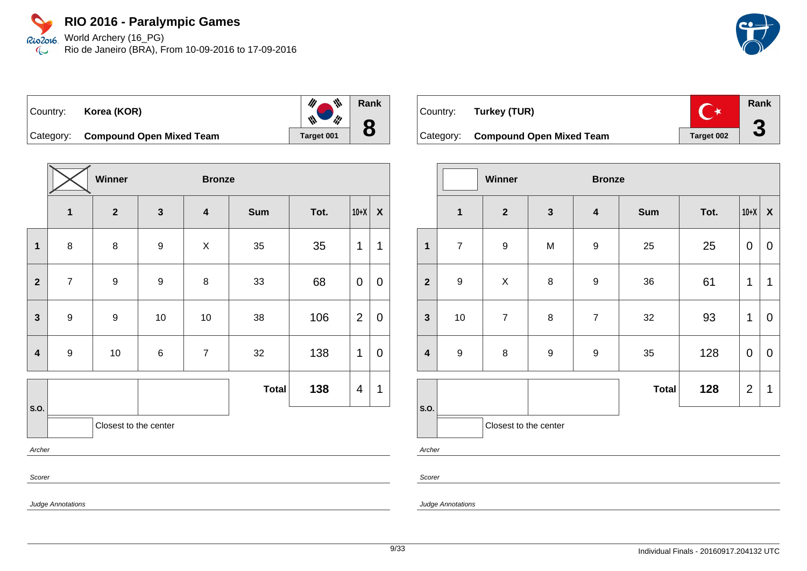World Archery (16\_PG) Rio2016 Rio de Janeiro (BRA), From 10-09-2016 to 17-09-2016  $\infty$ 



**Winner Bronze 1 2 3 4 Sum Tot. 10+X X 1** | 8 | 8 | 9 | X | 35 | 35 |1 |1 **2** | 7 | 9 | 9 | 8 | 33 | 68 |0 |0 **3** | 9 | 9 | 10 | 10 | 38 | 106 |2 | 0 **4** | 9 | 10 | 6 | 7 | 32 | 138 |1 | 0 **S.O. Total 138**  $|4|1$ Closest to the center Archer Scorer

| Country: | Turkey (TUR)                       |                   | Rank |
|----------|------------------------------------|-------------------|------|
|          | Category: Compound Open Mixed Team | <b>Target 002</b> |      |

|                         | Winner<br><b>Bronze</b> |                         |                  |                         |              |      |                  |                    |
|-------------------------|-------------------------|-------------------------|------------------|-------------------------|--------------|------|------------------|--------------------|
|                         | $\mathbf{1}$            | $\overline{\mathbf{2}}$ | $\mathbf{3}$     | $\overline{\mathbf{4}}$ | <b>Sum</b>   | Tot. | $10+X$           | $\pmb{\mathsf{X}}$ |
| $\mathbf{1}$            | $\overline{7}$          | $\boldsymbol{9}$        | M                | $\boldsymbol{9}$        | 25           | 25   | $\pmb{0}$        | 0                  |
| $\overline{2}$          | $\boldsymbol{9}$        | Χ                       | $\bf 8$          | $\boldsymbol{9}$        | 36           | 61   | 1                | 1                  |
| $\mathbf{3}$            | $10$                    | $\overline{7}$          | $\bf 8$          | $\overline{7}$          | 32           | 93   | 1                | 0                  |
| $\overline{\mathbf{4}}$ | $\boldsymbol{9}$        | $\bf 8$                 | $\boldsymbol{9}$ | $\boldsymbol{9}$        | 35           | 128  | $\boldsymbol{0}$ | $\mathbf 0$        |
|                         |                         |                         |                  |                         | <b>Total</b> | 128  | $\overline{2}$   | 1                  |
|                         |                         | Closest to the center   |                  |                         |              |      |                  |                    |
| S.O.<br>$\sim$          |                         |                         |                  |                         |              |      |                  |                    |

Archer

Scorer

Judge Annotations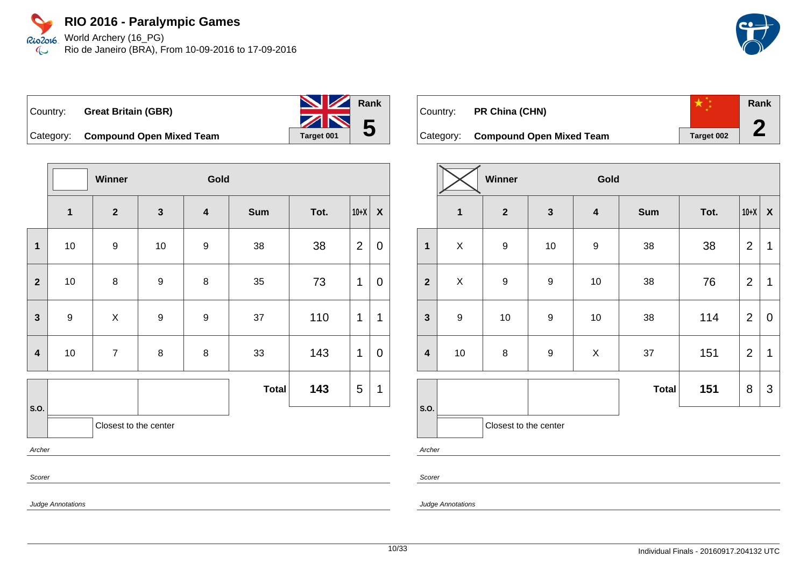### **RIO 2016 - Paralympic Games** Rio2o16, World Archery (16\_PG)

Rio de Janeiro (BRA), From 10-09-2016 to 17-09-2016  $\infty$ 



|                     | Country: Great Britain (GBR) | <b>No. 7 Rank</b> |  |
|---------------------|------------------------------|-------------------|--|
|                     |                              | $\frac{1}{2}$ 5   |  |
| $C_{\alpha}$ taanni | Campaund Open Mived Team     |                   |  |

Category: **Compound Open Mixed Team** Target 001

|                                                                          |                         | Winner           |                  | Gold                    |              |      |                |                  |  |  |  |
|--------------------------------------------------------------------------|-------------------------|------------------|------------------|-------------------------|--------------|------|----------------|------------------|--|--|--|
|                                                                          | $\overline{\mathbf{1}}$ | $\mathbf{2}$     | $\mathbf{3}$     | $\overline{\mathbf{4}}$ | Sum          | Tot. | $10+X$         | $\pmb{\chi}$     |  |  |  |
| $\mathbf{1}$                                                             | $10$                    | $\boldsymbol{9}$ | $10$             | $\boldsymbol{9}$        | 38           | 38   | $\overline{2}$ | $\boldsymbol{0}$ |  |  |  |
| $\mathbf{2}$                                                             | $10$                    | 8                | $\boldsymbol{9}$ | 8                       | 35           | 73   | 1              | $\mathbf 0$      |  |  |  |
| $\mathbf{3}$                                                             | $\boldsymbol{9}$        | X                | 9                | $\boldsymbol{9}$        | 37           | 110  | 1              | $\mathbf{1}$     |  |  |  |
| $\overline{\mathbf{4}}$                                                  | $10\,$                  | $\overline{7}$   | 8                | 8                       | 33           | 143  | 1              | $\pmb{0}$        |  |  |  |
|                                                                          |                         |                  |                  |                         | <b>Total</b> | 143  | 5              | 1                |  |  |  |
| S.O.                                                                     | Closest to the center   |                  |                  |                         |              |      |                |                  |  |  |  |
|                                                                          | Archer                  |                  |                  |                         |              |      |                |                  |  |  |  |
| $\mathbf{r}$ , $\mathbf{r}$ , $\mathbf{r}$ , $\mathbf{r}$ , $\mathbf{r}$ | Scorer                  |                  |                  |                         |              |      |                |                  |  |  |  |

| Country: | <b>PR China (CHN)</b>              |            | Rank |
|----------|------------------------------------|------------|------|
|          | Category: Compound Open Mixed Team | Target 002 |      |

|                         |                         | Winner<br>Gold        |                  |                           |              |      |                |                    |
|-------------------------|-------------------------|-----------------------|------------------|---------------------------|--------------|------|----------------|--------------------|
|                         | $\overline{\mathbf{1}}$ | $\mathbf{2}$          | $\mathbf{3}$     | $\boldsymbol{4}$          | <b>Sum</b>   | Tot. | $10+X$         | $\pmb{\mathsf{X}}$ |
| $\mathbf{1}$            | $\pmb{\times}$          | $\boldsymbol{9}$      | $10$             | 9                         | 38           | 38   | $\overline{2}$ | $\mathbf{1}$       |
| $\overline{2}$          | X                       | $\boldsymbol{9}$      | 9                | $10$                      | 38           | 76   | $\overline{2}$ | 1                  |
| $\mathbf{3}$            | $\boldsymbol{9}$        | 10                    | 9                | $10$                      | 38           | 114  | $\overline{2}$ | $\mathbf 0$        |
| $\overline{\mathbf{4}}$ | 10                      | 8                     | $\boldsymbol{9}$ | $\boldsymbol{\mathsf{X}}$ | 37           | 151  | $\overline{2}$ | $\mathbf 1$        |
|                         |                         |                       |                  |                           | <b>Total</b> | 151  | 8              | 3                  |
| S.O.                    |                         | Closest to the center |                  |                           |              |      |                |                    |

Archer

Scorer

Judge Annotations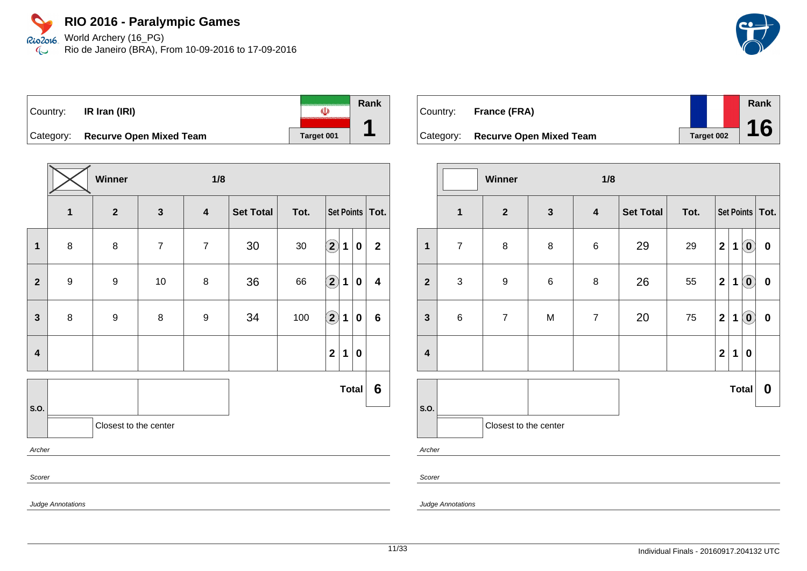World Archery (16\_PG) Rio de Janeiro (BRA), From 10-09-2016 to 17-09-2016

| ∣Country: | IR Iran (IRI)                  |            | Rank |
|-----------|--------------------------------|------------|------|
| Category: | <b>Recurve Open Mixed Team</b> | Target 001 |      |

|                         | Winner<br>1/8    |                       |                |                         |                  |        |                            |                   |              |                         |
|-------------------------|------------------|-----------------------|----------------|-------------------------|------------------|--------|----------------------------|-------------------|--------------|-------------------------|
|                         | $\mathbf{1}$     | $\overline{2}$        | $\mathbf{3}$   | $\overline{\mathbf{4}}$ | <b>Set Total</b> | Tot.   |                            | Set Points   Tot. |              |                         |
| 1                       | $\bf 8$          | $\bf 8$               | $\overline{7}$ | $\overline{7}$          | 30               | $30\,$ | $\bigcirc \!\! \! 2$       | $\mathbf{1}$      | $\mathbf 0$  | $\mathbf{2}$            |
| $\mathbf{2}$            | $\boldsymbol{9}$ | 9                     | $10\,$         | 8                       | 36               | 66     | $\bigcirc \!\! \! 2$       | $\mathbf 1$       | $\mathbf 0$  | $\overline{\mathbf{4}}$ |
| $\mathbf{3}$            | $\bf 8$          | 9                     | $\bf 8$        | 9                       | 34               | 100    | $\left( \mathbf{2}\right)$ | $\mathbf 1$       | 0            | $6\phantom{1}$          |
| $\overline{\mathbf{4}}$ |                  |                       |                |                         |                  |        | $\overline{2}$             | $\mathbf 1$       | 0            |                         |
|                         |                  |                       |                |                         |                  |        |                            |                   | <b>Total</b> | 6                       |
| S.O.                    |                  | Closest to the center |                |                         |                  |        |                            |                   |              |                         |
| Archer                  |                  |                       |                |                         |                  |        |                            |                   |              |                         |
| Scorer                  |                  |                       |                |                         |                  |        |                            |                   |              |                         |

| Country: | France (FRA)                      |            | Rank |
|----------|-----------------------------------|------------|------|
|          |                                   |            |      |
|          | Category: Recurve Open Mixed Team | Target 002 | 16   |

|                         | Winner<br>1/8             |                       |              |                  |                                  |      |                         |             |                            |                  |
|-------------------------|---------------------------|-----------------------|--------------|------------------|----------------------------------|------|-------------------------|-------------|----------------------------|------------------|
|                         | $\mathbf{1}$              | $\mathbf{2}$          | $\mathbf{3}$ | $\boldsymbol{4}$ | <b>Set Total</b>                 | Tot. | Set Points   Tot.       |             |                            |                  |
| $\mathbf 1$             | $\overline{7}$            | 8                     | $\bf 8$      | $\,6$            | 29                               | 29   | $\mathbf{2}$            | $\mathbf 1$ | $\left( \mathbf{0}\right)$ | $\pmb{0}$        |
| $\overline{\mathbf{2}}$ | $\ensuremath{\mathsf{3}}$ | $\boldsymbol{9}$      | $\,6$        | 8                | 26                               | 55   | $\mathbf 2$             | $\mathbf 1$ | $\left( \mathbf{0}\right)$ | $\bf{0}$         |
| $\mathbf{3}$            | $\,6$                     | $\overline{7}$        | M            | $\overline{7}$   | 20                               | 75   | $\mathbf{2}$            | $\mathbf 1$ | $\left( \mathbf{0}\right)$ | $\boldsymbol{0}$ |
| $\overline{\mathbf{4}}$ |                           |                       |              |                  |                                  |      | $\overline{\mathbf{2}}$ | $\mathbf 1$ | $\boldsymbol{0}$           |                  |
|                         |                           |                       |              |                  | <b>Total</b><br>$\boldsymbol{0}$ |      |                         |             |                            |                  |
| S.O.                    |                           | Closest to the center |              |                  |                                  |      |                         |             |                            |                  |
|                         | Archer                    |                       |              |                  |                                  |      |                         |             |                            |                  |

Scorer

Judge Annotations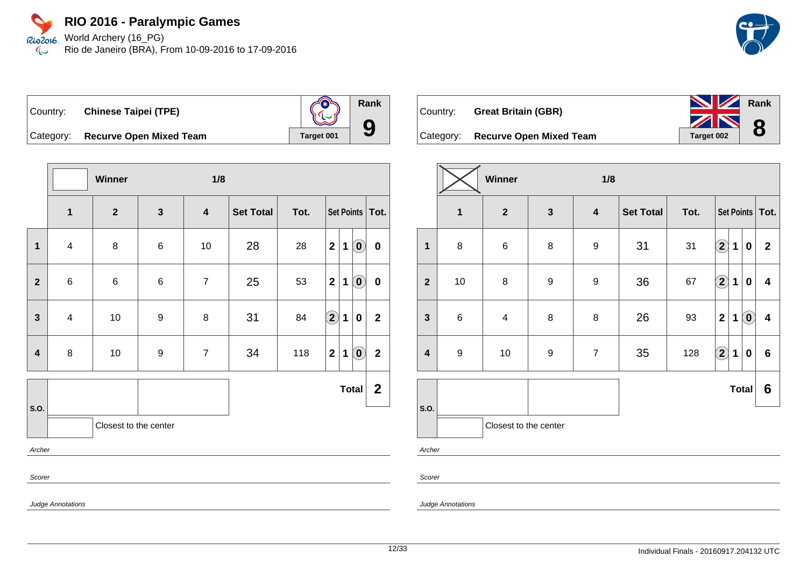World Archery (16\_PG) Rio2016 Rio de Janeiro (BRA), From 10-09-2016 to 17-09-2016  $\infty$ 



| Country: Chinese Taipei (TPE) |  |
|-------------------------------|--|



Category: **Recurve Open Mixed Team Target 001** 

|                         |                         | Winner                |                  | 1/8                     |                  |      |                      |   |                                                |                  |
|-------------------------|-------------------------|-----------------------|------------------|-------------------------|------------------|------|----------------------|---|------------------------------------------------|------------------|
|                         | $\mathbf{1}$            | $\mathbf{2}$          | $\mathbf{3}$     | $\overline{\mathbf{4}}$ | <b>Set Total</b> | Tot. | Set Points   Tot.    |   |                                                |                  |
| 1                       | $\overline{\mathbf{4}}$ | 8                     | $\,6\,$          | 10                      | 28               | 28   | $\mathbf{2}$         | 1 | $\left( \begin{matrix} 0 \end{matrix} \right)$ | $\pmb{0}$        |
| $\overline{\mathbf{2}}$ | $\,6$                   | $\,6$                 | $\,6$            | $\overline{7}$          | 25               | 53   | $\overline{2}$       | 1 | $\left( \begin{matrix} 0 \end{matrix} \right)$ | $\pmb{0}$        |
| $\mathbf{3}$            | $\overline{4}$          | $10$                  | $\boldsymbol{9}$ | 8                       | 31               | 84   | $\Large{\textbf{2}}$ | 1 | $\pmb{0}$                                      | $\mathbf 2$      |
| 4                       | 8                       | 10                    | $\boldsymbol{9}$ | $\overline{7}$          | 34               | 118  | $\mathbf{2}$         | 1 | $\left( \begin{matrix} 0 \end{matrix} \right)$ | $\mathbf 2$      |
|                         |                         |                       |                  |                         |                  |      |                      |   | <b>Total</b>                                   | $\boldsymbol{2}$ |
| S.O.                    |                         | Closest to the center |                  |                         |                  |      |                      |   |                                                |                  |
| Archer                  |                         |                       |                  |                         |                  |      |                      |   |                                                |                  |
|                         | Scorer                  |                       |                  |                         |                  |      |                      |   |                                                |                  |
|                         | Judge Annotations       |                       |                  |                         |                  |      |                      |   |                                                |                  |





**Winner 1/8**

|                         | $\mathbf 1$      | $\mathbf{2}$          | $\overline{\mathbf{3}}$ | $\overline{\mathbf{4}}$ | <b>Set Total</b> | Tot. |                         |             |              | Set Points   Tot.       |
|-------------------------|------------------|-----------------------|-------------------------|-------------------------|------------------|------|-------------------------|-------------|--------------|-------------------------|
| $\mathbf{1}$            | 8                | $\,6$                 | 8                       | $\boldsymbol{9}$        | 31               | 31   | $\Large{\textbf{2}}$    | 1           | $\bf{0}$     | $\mathbf{2}$            |
| $\overline{2}$          | $10$             | 8                     | $\boldsymbol{9}$        | $\boldsymbol{9}$        | 36               | 67   | $\Large 2$              | 1           | $\bf{0}$     | $\overline{\mathbf{4}}$ |
| $\mathbf{3}$            | $\,6$            | 4                     | 8                       | 8                       | 26               | 93   | $\overline{\mathbf{2}}$ | 1           | $\odot$      | $\overline{\mathbf{4}}$ |
| $\overline{\mathbf{4}}$ | $\boldsymbol{9}$ | 10                    | $\boldsymbol{9}$        | $\overline{7}$          | 35               | 128  | $\Large{\textbf{2}}$    | $\mathbf 1$ | $\bf{0}$     | $\bf 6$                 |
|                         |                  |                       |                         |                         |                  |      |                         |             | <b>Total</b> | 6                       |
| S.O.                    |                  | Closest to the center |                         |                         |                  |      |                         |             |              |                         |
| Archer                  |                  |                       |                         |                         |                  |      |                         |             |              |                         |

Scorer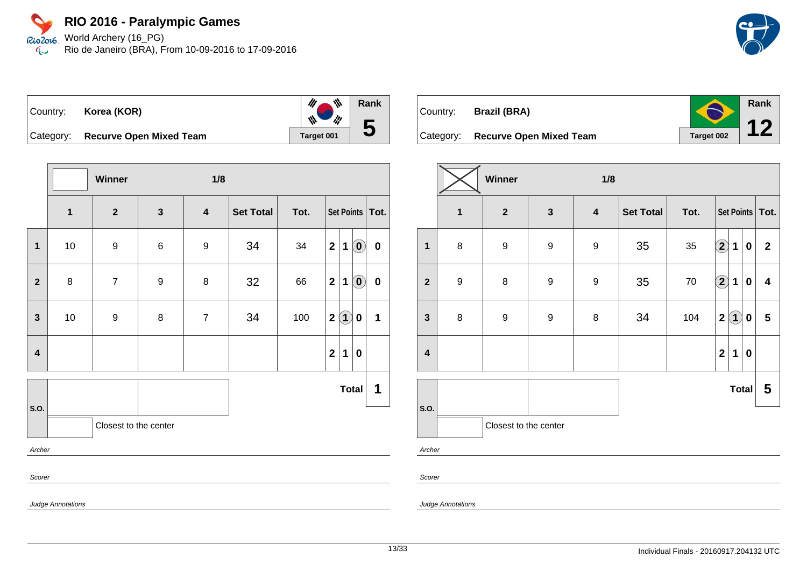World Archery (16\_PG) Rio2016 Rio de Janeiro (BRA), From 10-09-2016 to 17-09-2016  $\mathbb{C}$ 



|                         |      | Winner                |                  | 1/8                     |                  |      |              |                    |                                                         |                   |
|-------------------------|------|-----------------------|------------------|-------------------------|------------------|------|--------------|--------------------|---------------------------------------------------------|-------------------|
|                         | 1    | $\mathbf{2}$          | $\mathbf{3}$     | $\overline{\mathbf{4}}$ | <b>Set Total</b> | Tot. |              |                    |                                                         | Set Points   Tot. |
| $\mathbf{1}$            | $10$ | 9                     | $\,6$            | 9                       | 34               | 34   | $\mathbf{2}$ | 1                  | $\left( \mathbf{0}\right)$                              | $\pmb{0}$         |
| $\overline{\mathbf{2}}$ | 8    | $\overline{7}$        | $\boldsymbol{9}$ | $\bf 8$                 | 32               | 66   | $\mathbf{2}$ | 1                  | $\left( \begin{matrix} \textbf{0} \end{matrix} \right)$ | $\pmb{0}$         |
| $\mathbf{3}$            | $10$ | $\boldsymbol{9}$      | $\bf 8$          | $\overline{7}$          | 34               | 100  | $\mathbf{2}$ | $\mathbf{\hat{1}}$ | 0                                                       | 1                 |
| $\overline{\mathbf{4}}$ |      |                       |                  |                         |                  |      | $\mathbf{2}$ | 1                  | 0                                                       |                   |
|                         |      |                       |                  |                         |                  |      |              | <b>Total</b>       |                                                         | 1                 |
| S.O.                    |      | Closest to the center |                  |                         |                  |      |              |                    |                                                         |                   |
| Archer                  |      |                       |                  |                         |                  |      |              |                    |                                                         |                   |
| Scorer                  |      |                       |                  |                         |                  |      |              |                    |                                                         |                   |



|                         |                  | Winner                |                  | 1/8                     |                  |      |                            |                   |              |                         |
|-------------------------|------------------|-----------------------|------------------|-------------------------|------------------|------|----------------------------|-------------------|--------------|-------------------------|
|                         | $\mathbf{1}$     | $\mathbf{2}$          | $\mathbf{3}$     | $\overline{\mathbf{4}}$ | <b>Set Total</b> | Tot. |                            |                   |              | Set Points   Tot.       |
| $\overline{\mathbf{1}}$ | $\bf 8$          | $\boldsymbol{9}$      | $\boldsymbol{9}$ | $\boldsymbol{9}$        | 35               | 35   | $\bigcirc \!\! 2$          | $\mathbf 1$       | $\pmb{0}$    | $\mathbf 2$             |
| $\overline{\mathbf{2}}$ | $\boldsymbol{9}$ | $\bf 8$               | $\boldsymbol{9}$ | $\boldsymbol{9}$        | 35               | 70   | $\left( \mathbf{2}\right)$ | 1                 | 0            | $\overline{\mathbf{4}}$ |
| $\mathbf{3}$            | $\bf 8$          | $\boldsymbol{9}$      | $\boldsymbol{9}$ | 8                       | 34               | 104  | $\mathbf 2$                | $\left( 1\right)$ | 0            | $\overline{\mathbf{5}}$ |
| $\overline{\mathbf{4}}$ |                  |                       |                  |                         |                  |      | $\mathbf 2$                | 1                 | $\bf{0}$     |                         |
|                         |                  |                       |                  |                         |                  |      |                            |                   | <b>Total</b> | 5                       |
| S.O.<br>Archer          |                  | Closest to the center |                  |                         |                  |      |                            |                   |              |                         |

Scorer

Judge Annotations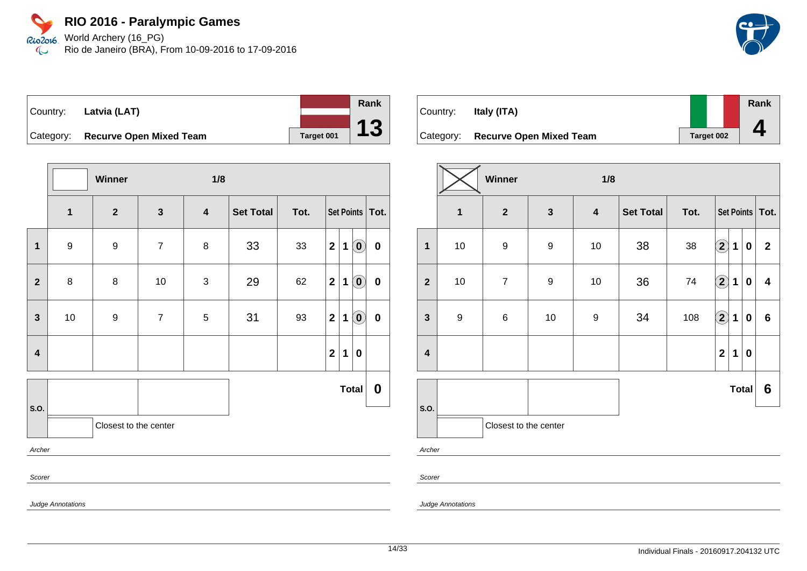Rio2o16. World Archery (16\_PG) Rio de Janeiro (BRA), From 10-09-2016 to 17-09-2016  $\infty$ 



| Country:  | Latvia (LAT)                   |            |
|-----------|--------------------------------|------------|
| Category: | <b>Recurve Open Mixed Team</b> | Target 001 |

|                         |                          | Winner                |                  | 1/8                     |                  |      |                   |             |                                                         |             |
|-------------------------|--------------------------|-----------------------|------------------|-------------------------|------------------|------|-------------------|-------------|---------------------------------------------------------|-------------|
|                         | 1                        | $\mathbf{2}$          | $\mathbf{3}$     | $\overline{\mathbf{4}}$ | <b>Set Total</b> | Tot. | Set Points   Tot. |             |                                                         |             |
| $\mathbf 1$             | $\boldsymbol{9}$         | 9                     | $\boldsymbol{7}$ | $\bf 8$                 | 33               | 33   | $\mathbf{2}$      | 1           | $\left( \begin{matrix} \textbf{0} \end{matrix} \right)$ | $\mathbf 0$ |
| $\overline{2}$          | 8                        | 8                     | $10$             | $\mathbf{3}$            | 29               | 62   | $\mathbf{2}$      | 1           | $\left( \mathbf{0}\right)$                              | $\pmb{0}$   |
| $\mathbf{3}$            | 10                       | $\boldsymbol{9}$      | $\overline{7}$   | $5\,$                   | 31               | 93   | 2                 | $\mathbf 1$ | $\left( \mathbf{0}\right)$                              | $\pmb{0}$   |
| $\overline{\mathbf{4}}$ |                          |                       |                  |                         |                  |      | $\overline{2}$    | $\mathbf 1$ | $\pmb{0}$                                               |             |
|                         |                          |                       |                  |                         |                  |      |                   |             | <b>Total</b>                                            | $\mathbf 0$ |
| S.O.                    |                          | Closest to the center |                  |                         |                  |      |                   |             |                                                         |             |
| Archer                  |                          |                       |                  |                         |                  |      |                   |             |                                                         |             |
| Scorer                  |                          |                       |                  |                         |                  |      |                   |             |                                                         |             |
|                         | <b>Judge Annotations</b> |                       |                  |                         |                  |      |                   |             |                                                         |             |

| Country:  | Italy (ITA)                    |                   | Rank |
|-----------|--------------------------------|-------------------|------|
| Category: | <b>Recurve Open Mixed Team</b> | <b>Target 002</b> |      |

|                         |                         | Winner                |                  | 1/8                     |                  |        |                            |             |                  |                   |
|-------------------------|-------------------------|-----------------------|------------------|-------------------------|------------------|--------|----------------------------|-------------|------------------|-------------------|
|                         | $\overline{\mathbf{1}}$ | $\mathbf{2}$          | $\mathbf{3}$     | $\overline{\mathbf{4}}$ | <b>Set Total</b> | Tot.   |                            |             |                  | Set Points   Tot. |
| $\overline{\mathbf{1}}$ | $10\,$                  | $\boldsymbol{9}$      | $\boldsymbol{9}$ | $10\,$                  | 38               | $38\,$ | $\bigcirc \!\! \! 2$       | 1           | $\boldsymbol{0}$ | $\mathbf{2}$      |
| $\overline{2}$          | $10\,$                  | $\boldsymbol{7}$      | $\boldsymbol{9}$ | $10$                    | 36               | 74     | $\left( \mathbf{2}\right)$ | $\mathbf 1$ | $\pmb{0}$        | 4                 |
| $\mathbf{3}$            | $\boldsymbol{9}$        | $\,6$                 | $10$             | $\boldsymbol{9}$        | 34               | 108    | $\bigcirc$                 | $\mathbf 1$ | $\boldsymbol{0}$ | $6\phantom{1}$    |
| $\overline{\mathbf{4}}$ |                         |                       |                  |                         |                  |        | $\mathbf{2}$               | 1           | $\mathbf 0$      |                   |
|                         |                         |                       |                  |                         |                  |        |                            |             | <b>Total</b>     | 6                 |
| S.O.<br>Archer          |                         | Closest to the center |                  |                         |                  |        |                            |             |                  |                   |

Scorer

Judge Annotations

**Rank**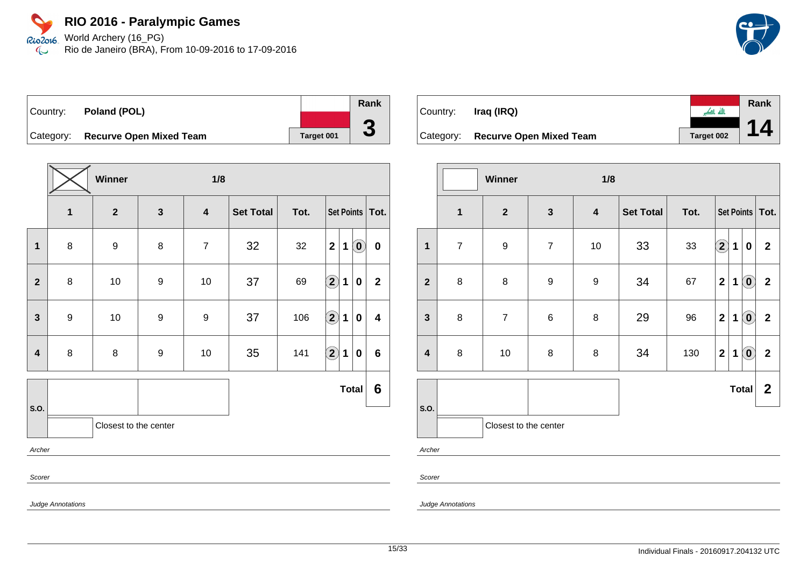Rio2o16 World Archery (16\_PG) Rio de Janeiro (BRA), From 10-09-2016 to 17-09-2016  $\infty$ 



| Country: | Poland (POL)                      |            | Rank                     |
|----------|-----------------------------------|------------|--------------------------|
|          |                                   |            |                          |
|          | Category: Recurve Open Mixed Team | Target 001 | $\overline{\phantom{a}}$ |

|                         |                          | Winner                |              | 1/8                     |                  |      |                                                 |                         |
|-------------------------|--------------------------|-----------------------|--------------|-------------------------|------------------|------|-------------------------------------------------|-------------------------|
|                         | 1                        | $\mathbf{2}$          | $\mathbf{3}$ | $\overline{\mathbf{4}}$ | <b>Set Total</b> | Tot. | Set Points   Tot.                               |                         |
| $\mathbf{1}$            | 8                        | $\boldsymbol{9}$      | 8            | $\overline{7}$          | 32               | 32   | $\mathbf{2}$<br>$\left( \mathbf{0}\right)$<br>1 | $\pmb{0}$               |
| $\overline{2}$          | 8                        | $10$                  | 9            | 10                      | 37               | 69   | $\bf \overline{2}$<br>1<br>0                    | $\mathbf{2}$            |
| $\mathbf{3}$            | $\boldsymbol{9}$         | $10$                  | 9            | $\boldsymbol{9}$        | 37               | 106  | $\hat{\mathbf{2}}$<br>1<br>0                    | $\overline{\mathbf{4}}$ |
| $\overline{\mathbf{4}}$ | 8                        | $\bf 8$               | 9            | 10                      | 35               | 141  | $\Large{\textbf{2}}$<br>$\mathbf 1$<br>0        | $6\phantom{1}$          |
|                         |                          |                       |              |                         |                  |      | <b>Total</b>                                    | 6                       |
| S.O.                    |                          | Closest to the center |              |                         |                  |      |                                                 |                         |
| Archer                  |                          |                       |              |                         |                  |      |                                                 |                         |
| Scorer                  |                          |                       |              |                         |                  |      |                                                 |                         |
|                         | <b>Judge Annotations</b> |                       |              |                         |                  |      |                                                 |                         |

|           |                                |            | Rank |
|-----------|--------------------------------|------------|------|
| Country:  | Iraq (IRQ)                     | त्त्वा गा  |      |
|           |                                |            |      |
| Category: | <b>Recurve Open Mixed Team</b> | Target 002 |      |

|                         |                | Winner                |                  | 1/8                     |                  |      |              |             |                            |                   |
|-------------------------|----------------|-----------------------|------------------|-------------------------|------------------|------|--------------|-------------|----------------------------|-------------------|
|                         | $\mathbf{1}$   | $\boldsymbol{2}$      | $\mathbf{3}$     | $\overline{\mathbf{4}}$ | <b>Set Total</b> | Tot. |              |             |                            | Set Points   Tot. |
| $\overline{\mathbf{1}}$ | $\overline{7}$ | $\boldsymbol{9}$      | $\overline{7}$   | 10                      | 33               | 33   | $\bf{(2)}$   | $\mathbf 1$ | 0                          | $\mathbf{2}$      |
| $\overline{2}$          | $\bf 8$        | 8                     | $\boldsymbol{9}$ | 9                       | 34               | 67   | $\mathbf 2$  | 1           | $\left( \mathbf{0}\right)$ | $\mathbf{2}$      |
| $\mathbf{3}$            | 8              | $\overline{7}$        | $\,6$            | 8                       | 29               | 96   | $\mathbf 2$  | 1           | $\left( \mathbf{0}\right)$ | $\mathbf{2}$      |
| $\overline{\mathbf{4}}$ | $\bf 8$        | 10                    | 8                | 8                       | 34               | 130  | $\mathbf{2}$ | 1           | $\left( \mathbf{0}\right)$ | $\mathbf{2}$      |
|                         |                |                       |                  |                         |                  |      |              |             | <b>Total</b>               | $\mathbf{2}$      |
| S.O.                    |                | Closest to the center |                  |                         |                  |      |              |             |                            |                   |
| Archer                  |                |                       |                  |                         |                  |      |              |             |                            |                   |
| Scorer                  |                |                       |                  |                         |                  |      |              |             |                            |                   |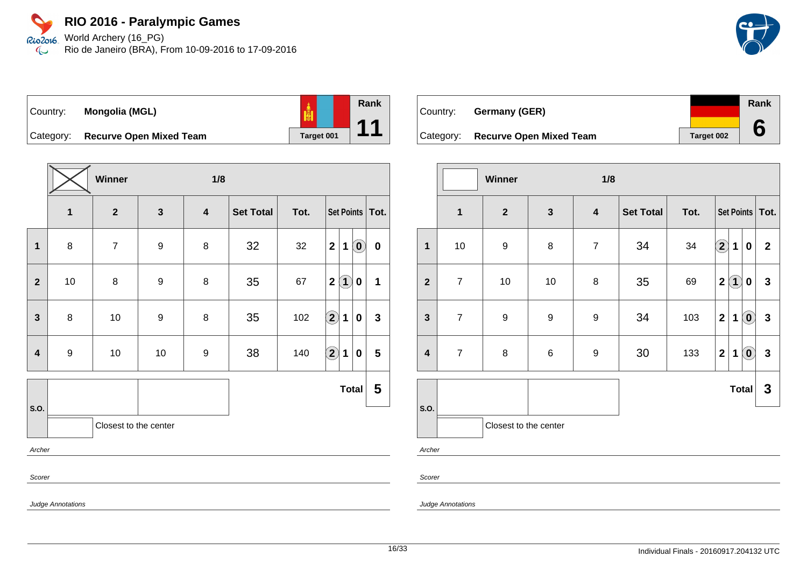Rio2o16 World Archery (16\_PG) Rio de Janeiro (BRA), From 10-09-2016 to 17-09-2016  $\infty$ 



| Country:  | Mongolia (MGL)                 | <u>ie</u>  |
|-----------|--------------------------------|------------|
| Category: | <b>Recurve Open Mixed Team</b> | Target 001 |

**Winner 1/8 1 2 3 4 Set Total Tot. Set Points Tot. 1** 8 7 9 8 32 32 **2 1 0 0**  $2$  | 10 | 8 | 9 | 8 | 35 | 67 | $2(1)$  **0** | 1 **3** 8 10 9 8 35 102 **2 1 0 3 4** 9 10 10 9 38 140 **2 1 0 5 S.O. Total 5** Closest to the center Archer Scorer Judge Annotations

| Country: | <b>Germany (GER)</b>              |            | Rank |
|----------|-----------------------------------|------------|------|
|          | Category: Recurve Open Mixed Team | Target 002 |      |

|                         |                | Winner<br>1/8           |                  |                  |                  |        |                         |                   |                            |              |
|-------------------------|----------------|-------------------------|------------------|------------------|------------------|--------|-------------------------|-------------------|----------------------------|--------------|
|                         | $\mathbf{1}$   | $\overline{\mathbf{2}}$ | $\mathbf{3}$     | $\boldsymbol{4}$ | <b>Set Total</b> | Tot.   | Set Points   Tot.       |                   |                            |              |
| $\mathbf{1}$            | 10             | 9                       | $\bf 8$          | $\overline{7}$   | 34               | $34\,$ | $\Large{\textbf{2}}$    | $\mathbf{1}$      | $\boldsymbol{0}$           | $\mathbf{2}$ |
| $\overline{2}$          | $\overline{7}$ | 10                      | 10               | $\bf 8$          | 35               | 69     | $\overline{\mathbf{2}}$ | $\left( 1\right)$ | $\boldsymbol{0}$           | $\mathbf{3}$ |
| $\mathbf{3}$            | $\overline{7}$ | $\boldsymbol{9}$        | $\boldsymbol{9}$ | $\boldsymbol{9}$ | 34               | 103    | $\mathbf 2$             | 1                 | $\left( \mathbf{0}\right)$ | $\mathbf{3}$ |
| $\overline{\mathbf{4}}$ | $\overline{7}$ | 8                       | $\,6\,$          | 9                | 30               | 133    | $\overline{\mathbf{2}}$ | 1                 | $\left( \mathbf{0}\right)$ | $\mathbf{3}$ |
|                         |                |                         |                  |                  |                  |        |                         |                   | <b>Total</b>               | $\mathbf{3}$ |
| S.O.                    |                | Closest to the center   |                  |                  |                  |        |                         |                   |                            |              |
| Archer                  |                |                         |                  |                  |                  |        |                         |                   |                            |              |

Scorer

Judge Annotations

**Rank**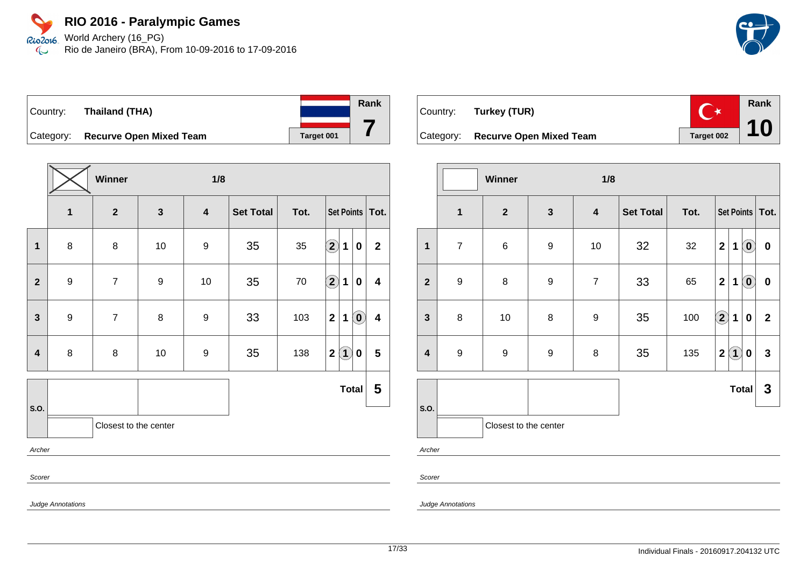World Archery (16\_PG) Rio2016 Rio de Janeiro (BRA), From 10-09-2016 to 17-09-2016  $\mathbb{C}$ 



# Country: **Thailand (THA)** Category: **Recurve Open Mixed Team Target 001**

|                         |                          | Winner                  |                  | 1/8                     |                  |      |                                     |                            |                         |
|-------------------------|--------------------------|-------------------------|------------------|-------------------------|------------------|------|-------------------------------------|----------------------------|-------------------------|
|                         | $\mathbf{1}$             | $\overline{\mathbf{2}}$ | $\mathbf{3}$     | $\overline{\mathbf{4}}$ | <b>Set Total</b> | Tot. |                                     | Set Points Tot.            |                         |
| $\mathbf 1$             | 8                        | 8                       | 10               | 9                       | 35               | 35   | $\left( \mathbf{2}\right)$<br>1     | 0                          | $\mathbf{2}$            |
| $\overline{\mathbf{2}}$ | $\boldsymbol{9}$         | $\overline{7}$          | $\boldsymbol{9}$ | 10                      | 35               | 70   | $\bigcirc \!\! \! 2$<br>$\mathbf 1$ | $\pmb{0}$                  | $\overline{\mathbf{4}}$ |
| $\mathbf{3}$            | $\boldsymbol{9}$         | $\overline{7}$          | 8                | 9                       | 33               | 103  | $\mathbf 2$<br>1                    | $\left( \mathbf{0}\right)$ | $\overline{\mathbf{4}}$ |
| 4                       | 8                        | $\bf 8$                 | 10               | $\boldsymbol{9}$        | 35               | 138  | (1)<br>2 <sub>1</sub>               | 0                          | $5\phantom{.0}$         |
|                         |                          |                         |                  |                         |                  |      | <b>Total</b>                        |                            | 5                       |
| S.O.                    |                          | Closest to the center   |                  |                         |                  |      |                                     |                            |                         |
| Archer                  |                          |                         |                  |                         |                  |      |                                     |                            |                         |
| Scorer                  |                          |                         |                  |                         |                  |      |                                     |                            |                         |
|                         | <b>Judge Annotations</b> |                         |                  |                         |                  |      |                                     |                            |                         |



|                         |                  | Winner                |              | 1/8              |                  |      |                                  |                            |                |  |  |
|-------------------------|------------------|-----------------------|--------------|------------------|------------------|------|----------------------------------|----------------------------|----------------|--|--|
|                         | $\mathbf{1}$     | $\overline{2}$        | $\mathbf{3}$ | $\boldsymbol{4}$ | <b>Set Total</b> | Tot. | Set Points   Tot.                |                            |                |  |  |
| 1                       | $\overline{7}$   | 6                     | 9            | 10               | 32               | 32   | $\overline{2}$<br>$\mathbf 1$    | $\odot$                    | $\pmb{0}$      |  |  |
| $\mathbf{2}$            | $\boldsymbol{9}$ | $\bf 8$               | 9            | $\overline{7}$   | 33               | 65   | $\overline{2}$<br>1              | $\left( \mathbf{0}\right)$ | $\pmb{0}$      |  |  |
| $\overline{\mathbf{3}}$ | 8                | 10                    | 8            | 9                | 35               | 100  | $\left( \mathbf{2}\right)$<br>1  | $\mathbf 0$                | $\overline{2}$ |  |  |
| 4                       | $\boldsymbol{9}$ | $\boldsymbol{9}$      | 9            | $\bf 8$          | 35               | 135  | $\left( 1\right)$<br>$\mathbf 2$ | 0                          | $\mathbf{3}$   |  |  |
|                         |                  |                       |              |                  |                  |      |                                  | <b>Total</b>               | 3              |  |  |
| S.O.                    |                  | Closest to the center |              |                  |                  |      |                                  |                            |                |  |  |
|                         | Archer           |                       |              |                  |                  |      |                                  |                            |                |  |  |

Scorer

Judge Annotations

**Rank**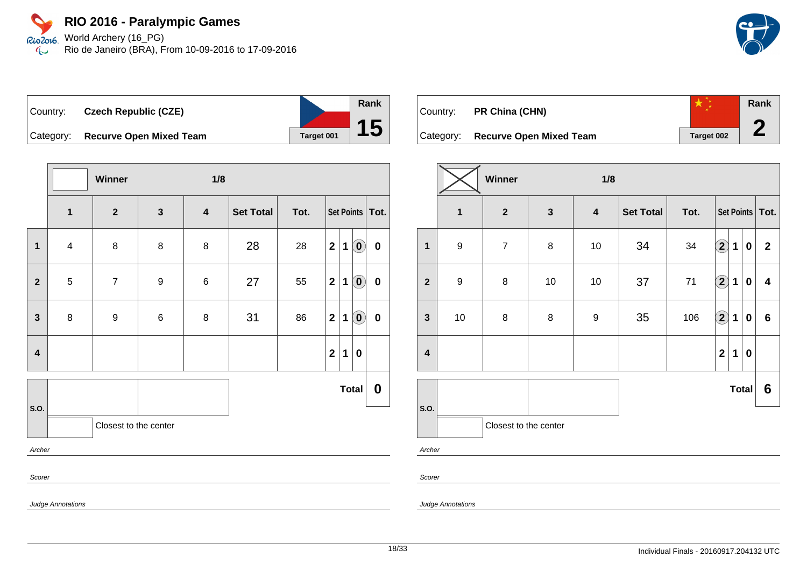Rio2o16 World Archery (16\_PG) Rio de Janeiro (BRA), From 10-09-2016 to 17-09-2016  $\infty$ 



| ∣Country: | <b>Czech Republic (CZE)</b>    |            |
|-----------|--------------------------------|------------|
| Category: | <b>Recurve Open Mixed Team</b> | Target 001 |

|                         |                                                           | Winner                |                  | 1/8                     |                   |      |              |   |                                                         |           |
|-------------------------|-----------------------------------------------------------|-----------------------|------------------|-------------------------|-------------------|------|--------------|---|---------------------------------------------------------|-----------|
|                         | $\overline{\mathbf{1}}$                                   | $\mathbf{2}$          | $\mathbf 3$      | $\overline{\mathbf{4}}$ | <b>Set Total</b>  | Tot. |              |   | Set Points Tot.                                         |           |
| 1                       | $\overline{\mathbf{4}}$                                   | 8                     | 8                | 8                       | 28                | 28   | $\mathbf{2}$ | 1 | $\left( \begin{matrix} \textbf{0} \end{matrix} \right)$ | $\pmb{0}$ |
| $\overline{\mathbf{2}}$ | $\sqrt{5}$                                                | $\overline{7}$        | $\boldsymbol{9}$ | $\,6$                   | 27                | 55   | $\mathbf{2}$ | 1 | $\left( \begin{matrix} \textbf{0} \end{matrix} \right)$ | $\pmb{0}$ |
| $\mathbf{3}$            | 8                                                         | $\boldsymbol{9}$      | 6                | 8                       | 31                | 86   | $\mathbf{2}$ | 1 | $\left( \mathbf{0}\right)$                              | $\pmb{0}$ |
| $\overline{\mathbf{4}}$ |                                                           |                       |                  |                         |                   |      | $\mathbf{2}$ | 1 | $\boldsymbol{0}$                                        |           |
|                         |                                                           |                       |                  |                         | <b>Total</b><br>0 |      |              |   |                                                         |           |
| S.O.                    |                                                           | Closest to the center |                  |                         |                   |      |              |   |                                                         |           |
| Archer                  |                                                           |                       |                  |                         |                   |      |              |   |                                                         |           |
| Scorer                  |                                                           |                       |                  |                         |                   |      |              |   |                                                         |           |
|                         | $\mathbf{r}$ , $\mathbf{r}$ , $\mathbf{r}$ , $\mathbf{r}$ |                       |                  |                         |                   |      |              |   |                                                         |           |

| Country: | <b>PR China (CHN)</b>             |            | Rank |
|----------|-----------------------------------|------------|------|
|          | Category: Recurve Open Mixed Team | Target 002 |      |

|                         | Winner<br>1/8           |                |              |                         |                  |      |                        |             |              |                         |  |
|-------------------------|-------------------------|----------------|--------------|-------------------------|------------------|------|------------------------|-------------|--------------|-------------------------|--|
|                         | $\overline{\mathbf{1}}$ | $\mathbf{2}$   | $\mathbf{3}$ | $\overline{\mathbf{4}}$ | <b>Set Total</b> | Tot. | Set Points   Tot.      |             |              |                         |  |
| $\overline{\mathbf{1}}$ | $\boldsymbol{9}$        | $\overline{7}$ | 8            | $10$                    | 34               | 34   | $\left( \bf{2}\right)$ | 1           | $\bf{0}$     | $\mathbf 2$             |  |
| $\overline{2}$          | $\boldsymbol{9}$        | 8              | $10$         | $10$                    | 37               | 71   | $\bigcirc \!\! 2$      | $\mathbf 1$ | $\bf{0}$     | $\overline{\mathbf{4}}$ |  |
| $\mathbf{3}$            | 10                      | 8              | $\bf 8$      | $\boldsymbol{9}$        | 35               | 106  | $\left( \bf{2}\right)$ | 1           | $\bf{0}$     | $6\phantom{1}$          |  |
| $\overline{\mathbf{4}}$ |                         |                |              |                         |                  |      | $\overline{2}$         | 1           | $\bf{0}$     |                         |  |
|                         |                         |                |              |                         |                  |      |                        |             | <b>Total</b> | 6                       |  |
| S.O.                    | Closest to the center   |                |              |                         |                  |      |                        |             |              |                         |  |

Scorer

Judge Annotations

Judge Annotations

**Rank**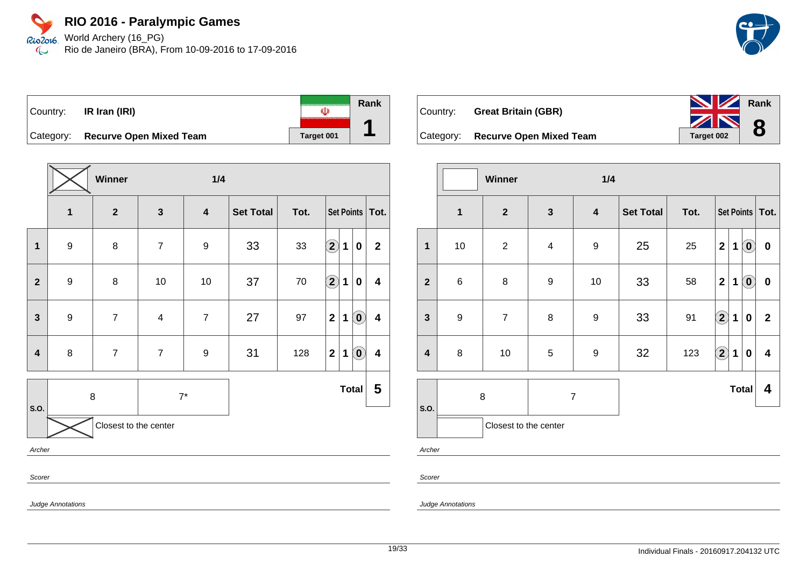Rio2o16 World Archery (16\_PG) Rio de Janeiro (BRA), From 10-09-2016 to 17-09-2016  $\infty$ 

**Rank**

**8**

| Country: | IR Iran (IRI)                     |            | Rank |
|----------|-----------------------------------|------------|------|
|          | Category: Recurve Open Mixed Team | Target 001 |      |

|                         |                  | Winner                  |                         | 1/4                     |                  |        |                    |             |                            |                         |
|-------------------------|------------------|-------------------------|-------------------------|-------------------------|------------------|--------|--------------------|-------------|----------------------------|-------------------------|
|                         | $\mathbf 1$      | $\overline{\mathbf{2}}$ | $\mathbf{3}$            | $\overline{\mathbf{4}}$ | <b>Set Total</b> | Tot.   | Set Points   Tot.  |             |                            |                         |
| $\mathbf{1}$            | $\boldsymbol{9}$ | 8                       | $\overline{7}$          | 9                       | 33               | 33     | $\bf \overline{2}$ | 1           | $\pmb{0}$                  | $\overline{2}$          |
| $\mathbf{2}$            | $\boldsymbol{9}$ | $\bf 8$                 | 10                      | $10$                    | 37               | $70\,$ | $\hat{\mathbf{2}}$ | 1           | $\mathbf 0$                | 4                       |
| $\overline{\mathbf{3}}$ | $\boldsymbol{9}$ | $\overline{7}$          | $\overline{\mathbf{4}}$ | $\overline{7}$          | 27               | 97     | $\mathbf{2}$       | $\mathbf 1$ | $\left( \mathbf{0}\right)$ | $\boldsymbol{4}$        |
| $\overline{\mathbf{4}}$ | 8                | $\overline{7}$          | $\overline{7}$          | 9                       | 31               | 128    | $\mathbf{2}$       | 1           | $\left( \mathbf{0}\right)$ | $\overline{\mathbf{4}}$ |
|                         | 8                |                         | $7^\star$               |                         |                  |        |                    |             | <b>Total</b>               | 5                       |
| S.O.                    |                  | Closest to the center   |                         |                         |                  |        |                    |             |                            |                         |
| Archer                  |                  |                         |                         |                         |                  |        |                    |             |                            |                         |
| Scorer                  |                  |                         |                         |                         |                  |        |                    |             |                            |                         |



|                         |                     | Winner                |                         | 1/4                     |                  |      |                            |              |                            |                         |
|-------------------------|---------------------|-----------------------|-------------------------|-------------------------|------------------|------|----------------------------|--------------|----------------------------|-------------------------|
|                         | $\mathbf{1}$        | $\mathbf{2}$          | $\mathbf{3}$            | $\overline{\mathbf{4}}$ | <b>Set Total</b> | Tot. | Set Points   Tot.          |              |                            |                         |
| $\mathbf{1}$            | 10                  | $\sqrt{2}$            | $\overline{\mathbf{4}}$ | $\boldsymbol{9}$        | 25               | 25   | $\mathbf 2$                | 1            | $\left( \mathbf{0}\right)$ | $\pmb{0}$               |
| $\overline{2}$          | 6                   | 8                     | $\boldsymbol{9}$        | $10$                    | 33               | 58   | $\mathbf{2}$               | 1            | $\odot$                    | $\pmb{0}$               |
| $\mathbf{3}$            | $\boldsymbol{9}$    | $\overline{7}$        | 8                       | $\boldsymbol{9}$        | 33               | 91   | $\left( \bf{2}\right)$     | 1            | $\bf{0}$                   | $\mathbf{2}$            |
| $\overline{\mathbf{4}}$ | 8                   | $10$                  | 5                       | $\boldsymbol{9}$        | 32               | 123  | $\left( \mathbf{2}\right)$ | 1            | $\pmb{0}$                  | $\overline{\mathbf{4}}$ |
|                         | 8<br>$\overline{7}$ |                       |                         |                         |                  |      |                            | <b>Total</b> | 4                          |                         |
| S.O.                    |                     | Closest to the center |                         |                         |                  |      |                            |              |                            |                         |

Archer

Scorer

Judge Annotations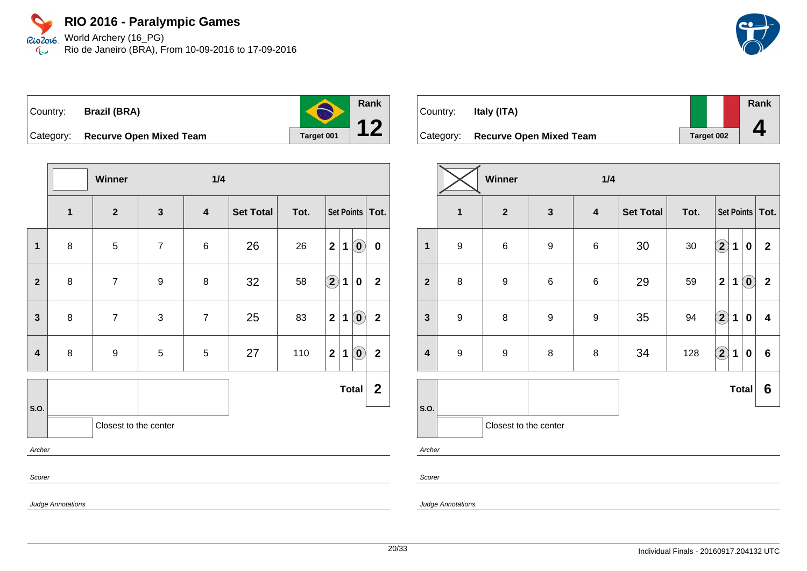### **RIO 2016 - Paralympic Games** Rio2o16 World Archery (16\_PG)

Rio de Janeiro (BRA), From 10-09-2016 to 17-09-2016  $\infty$ 



Country: **Brazil (BRA)** Category: **Recurve Open Mixed Team Target 001 Rank 12**

**Winner 1/4 1 2 3 4 Set Total Tot. Set Points Tot. 1** 8 5 7 6 26 26 **2 1 0 0 2** 8 7 9 8 32 58 **2 1 0 2 3** 8 7 3 7 25 83 21 0 2 **4** | 8 | 9 | 5 | 5 | 27 | 110 | 2 | 1 | 0 | 2 **S.O. Total 2** Closest to the center Archer Scorer Judge Annotations

| Country:  | Italy (ITA)                    |                   | Rank |
|-----------|--------------------------------|-------------------|------|
| Category: | <b>Recurve Open Mixed Team</b> | <b>Target 002</b> |      |

|                         |                         | Winner<br>1/4         |                  |                  |                  |      |                            |              |                            |                         |
|-------------------------|-------------------------|-----------------------|------------------|------------------|------------------|------|----------------------------|--------------|----------------------------|-------------------------|
|                         | $\overline{\mathbf{1}}$ | $\mathbf{2}$          | $\mathbf{3}$     | $\boldsymbol{4}$ | <b>Set Total</b> | Tot. |                            |              |                            | Set Points   Tot.       |
| $\mathbf 1$             | $\boldsymbol{9}$        | $\,6$                 | $\boldsymbol{9}$ | $\,6$            | 30               | 30   | $\Large{\textbf{2}}$       | $\mathbf 1$  | $\mathbf 0$                | $\overline{2}$          |
| $\mathbf{2}$            | $\bf 8$                 | 9                     | $\,6$            | $\,6$            | 29               | 59   | $\overline{2}$             | 1            | $\left( \mathbf{0}\right)$ | $\mathbf{2}$            |
| $\mathbf{3}$            | $\boldsymbol{9}$        | 8                     | $\boldsymbol{9}$ | $\boldsymbol{9}$ | 35               | 94   | $\left( \mathbf{2}\right)$ | $\mathbf 1$  | $\mathbf 0$                | $\overline{\mathbf{4}}$ |
| $\overline{\mathbf{4}}$ | $\boldsymbol{9}$        | 9                     | $\bf 8$          | $\,8\,$          | 34               | 128  | $\bigcirc \!\! 2$          | $\mathbf 1$  | $\mathbf 0$                | $6\phantom{a}$          |
|                         |                         |                       |                  |                  |                  |      |                            | <b>Total</b> |                            | 6                       |
| S.O.                    |                         | Closest to the center |                  |                  |                  |      |                            |              |                            |                         |
| Archer                  |                         |                       |                  |                  |                  |      |                            |              |                            |                         |

Scorer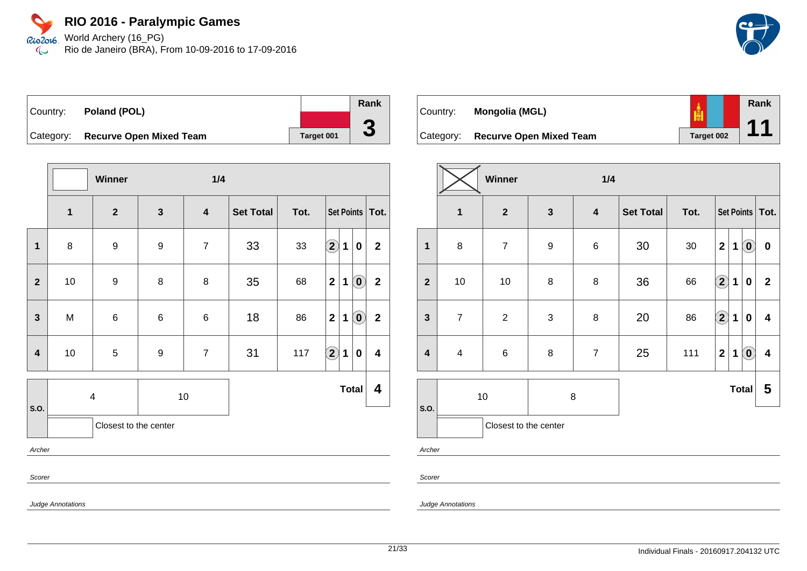Rio2o16 World Archery (16\_PG) Rio de Janeiro (BRA), From 10-09-2016 to 17-09-2016  $\infty$ 

| Country: <b>Poland (POL)</b>      |            | Rank                     |
|-----------------------------------|------------|--------------------------|
|                                   |            |                          |
| Category: Recurve Open Mixed Team | Target 001 | $\overline{\phantom{a}}$ |

|                         |                         | Winner                |                  | 1/4              |                  |      |                   |                                                         |                         |
|-------------------------|-------------------------|-----------------------|------------------|------------------|------------------|------|-------------------|---------------------------------------------------------|-------------------------|
|                         | $\mathbf 1$             | $\boldsymbol{2}$      | $\mathbf{3}$     | $\boldsymbol{4}$ | <b>Set Total</b> | Tot. | Set Points   Tot. |                                                         |                         |
| $\mathbf{1}$            | 8                       | $\boldsymbol{9}$      | 9                | $\overline{7}$   | 33               | 33   | $\bf (2)$<br>1    | $\mathbf 0$                                             | $\boldsymbol{2}$        |
| $\overline{2}$          | 10                      | $\boldsymbol{9}$      | 8                | 8                | 35               | 68   | $\mathbf 2$<br>1  | $\left( \begin{matrix} \textbf{0} \end{matrix} \right)$ | $\mathbf{2}$            |
| 3                       | M                       | $\,6$                 | $\,6$            | $\,6\,$          | 18               | 86   | $\mathbf 2$<br>1  | $\left( \begin{matrix} \mathbf{0} \end{matrix} \right)$ | $\mathbf{2}$            |
| $\overline{\mathbf{4}}$ | 10                      | $\mathbf 5$           | $\boldsymbol{9}$ | $\overline{7}$   | 31               | 117  | $\bf (2)$<br>1    | $\pmb{0}$                                               | $\overline{\mathbf{4}}$ |
| S.O.                    | $\overline{\mathbf{4}}$ |                       |                  | $10$             |                  |      |                   | <b>Total</b>                                            | 4                       |
|                         |                         | Closest to the center |                  |                  |                  |      |                   |                                                         |                         |
| Archer                  |                         |                       |                  |                  |                  |      |                   |                                                         |                         |
| Scorer                  |                         |                       |                  |                  |                  |      |                   |                                                         |                         |

| Country:  | Mongolia (MGL)                 |            | Rank |
|-----------|--------------------------------|------------|------|
| Category: | <b>Recurve Open Mixed Team</b> | Target 002 |      |

|                         |                         | Winner                  |                  | 1/4                     |                  |        |              |              |                                                         |                         |
|-------------------------|-------------------------|-------------------------|------------------|-------------------------|------------------|--------|--------------|--------------|---------------------------------------------------------|-------------------------|
|                         | $\mathbf{1}$            | $\overline{\mathbf{2}}$ | $\mathbf{3}$     | $\overline{\mathbf{4}}$ | <b>Set Total</b> | Tot.   |              |              |                                                         | Set Points   Tot.       |
| 1                       | 8                       | $\overline{7}$          | $\boldsymbol{9}$ | $\,6$                   | 30               | $30\,$ | $\mathbf{2}$ | 1            | $\left( \begin{matrix} 0 \\ 0 \end{matrix} \right)$     | $\bf{0}$                |
| $\overline{2}$          | 10                      | 10                      | 8                | 8                       | 36               | 66     | $\boxed{2}$  | $\mathbf 1$  | $\pmb{0}$                                               | $\mathbf{2}$            |
| $\mathbf{3}$            | $\overline{7}$          | $\sqrt{2}$              | 3                | 8                       | 20               | 86     | $\Large 2$   | $\mathbf{1}$ | $\bf{0}$                                                | 4                       |
| $\overline{\mathbf{4}}$ | $\overline{\mathbf{4}}$ | $\,6$                   | 8                | $\overline{7}$          | 25               | 111    | $\mathbf 2$  | $\mathbf 1$  | $\left( \begin{matrix} \textbf{0} \end{matrix} \right)$ | $\overline{\mathbf{4}}$ |
|                         | 10                      |                         | 8                |                         |                  |        |              |              | <b>Total</b>                                            | 5                       |
| S.O.                    |                         | Closest to the center   |                  |                         |                  |        |              |              |                                                         |                         |

Archer

Scorer

Judge Annotations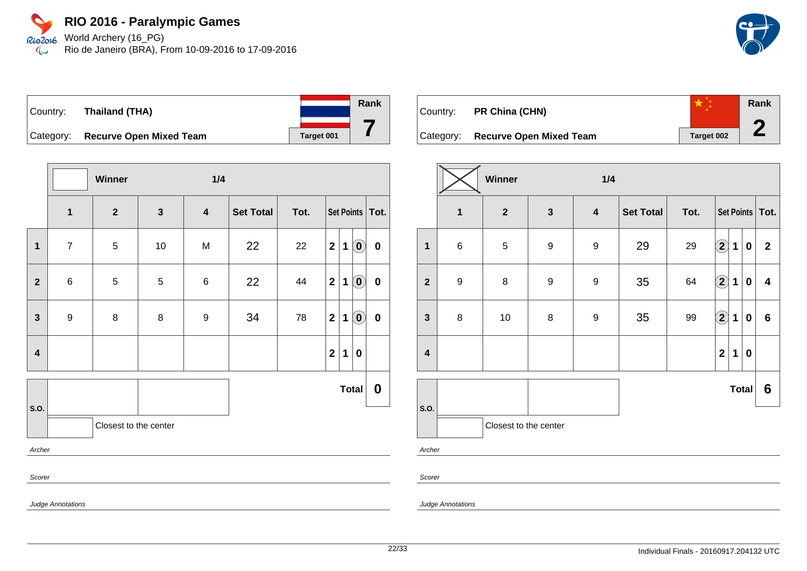Rio2o16 World Archery (16\_PG) Rio de Janeiro (BRA), From 10-09-2016 to 17-09-2016  $\infty$ 



| Country:  | Thailand (THA)                 |            | Rank |
|-----------|--------------------------------|------------|------|
| Category: | <b>Recurve Open Mixed Team</b> | Target 001 |      |

|                         |                  | Winner                |              | 1/4              |           |      |                   |              |                            |                  |
|-------------------------|------------------|-----------------------|--------------|------------------|-----------|------|-------------------|--------------|----------------------------|------------------|
|                         | $\mathbf{1}$     | $\boldsymbol{2}$      | $\mathbf{3}$ | $\boldsymbol{4}$ | Set Total | Tot. | Set Points   Tot. |              |                            |                  |
| $\mathbf 1$             | $\overline{7}$   | $\overline{5}$        | $10\,$       | M                | 22        | 22   | $\mathbf{2}$      | $\mathbf 1$  | $\left( \mathbf{0}\right)$ | $\pmb{0}$        |
| $\mathbf{2}$            | $\,6$            | 5                     | 5            | $\,6$            | 22        | 44   | $\mathbf{2}$      | $\mathbf 1$  | $\left( \mathbf{0}\right)$ | $\pmb{0}$        |
| $\mathbf{3}$            | $\boldsymbol{9}$ | $\bf 8$               | 8            | 9                | 34        | 78   | $\mathbf{2}$      | $\mathbf 1$  | $\left( \mathbf{0}\right)$ | $\pmb{0}$        |
| $\overline{\mathbf{4}}$ |                  |                       |              |                  |           |      | $\mathbf{2}$      | $\mathbf{1}$ | $\bf{0}$                   |                  |
|                         |                  |                       |              |                  |           |      |                   |              | Total                      | $\boldsymbol{0}$ |
| S.O.                    |                  | Closest to the center |              |                  |           |      |                   |              |                            |                  |
| Archer                  |                  |                       |              |                  |           |      |                   |              |                            |                  |
| Scorer                  |                  |                       |              |                  |           |      |                   |              |                            |                  |

| Country: | PR China (CHN)                    |            | Rank |
|----------|-----------------------------------|------------|------|
|          | Category: Recurve Open Mixed Team | Target 002 |      |

|                         | Winner<br>1/4    |                       |                  |                         |                  |      |                      |             |                  |             |
|-------------------------|------------------|-----------------------|------------------|-------------------------|------------------|------|----------------------|-------------|------------------|-------------|
|                         | 1                | $\mathbf{2}$          | $\mathbf{3}$     | $\overline{\mathbf{4}}$ | <b>Set Total</b> | Tot. | Set Points   Tot.    |             |                  |             |
| $\mathbf 1$             | $\,6$            | $\,$ 5 $\,$           | $\boldsymbol{9}$ | $\boldsymbol{9}$        | 29               | 29   | $\bf \Omega$         | 1           | $\boldsymbol{0}$ | $\mathbf 2$ |
| $\overline{\mathbf{2}}$ | $\boldsymbol{9}$ | $\bf 8$               | $\boldsymbol{9}$ | $\boldsymbol{9}$        | 35               | 64   | $\Large{\textbf{2}}$ | $\mathbf 1$ | $\mathbf 0$      | 4           |
| $\mathbf{3}$            | 8                | 10                    | $\bf 8$          | $\boldsymbol{9}$        | 35               | 99   | $\bigcirc \!\! 2$    | $\mathbf 1$ | $\pmb{0}$        | $\bf 6$     |
| $\overline{\mathbf{4}}$ |                  |                       |                  |                         |                  |      | $\mathbf 2$          | 1           | $\pmb{0}$        |             |
|                         |                  |                       |                  |                         |                  |      |                      |             | <b>Total</b>     | 6           |
| S.O.<br>Archer          |                  | Closest to the center |                  |                         |                  |      |                      |             |                  |             |

Scorer

Judge Annotations

Judge Annotations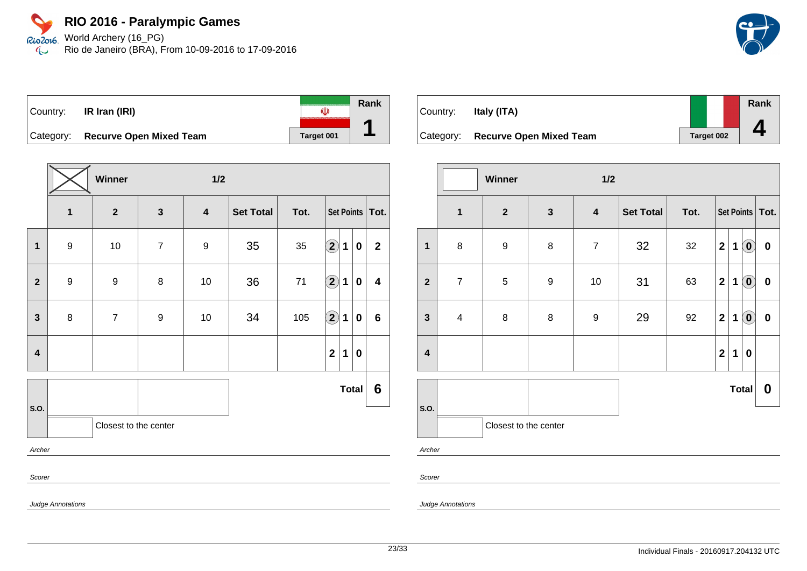Rio2o16 World Archery (16\_PG) Rio de Janeiro (BRA), From 10-09-2016 to 17-09-2016  $\infty$ 

|  | $\vert$ Country: <b>IR Iran (IRI)</b> |            | Rank |
|--|---------------------------------------|------------|------|
|  | Category: Recurve Open Mixed Team     | Target 001 |      |

|                  |                  | Winner                | 1/2            |                         |                  |      |                        |              |                  |                |  |
|------------------|------------------|-----------------------|----------------|-------------------------|------------------|------|------------------------|--------------|------------------|----------------|--|
|                  | 1                | $\overline{2}$        | $\mathbf{3}$   | $\overline{\mathbf{4}}$ | <b>Set Total</b> | Tot. | Set Points   Tot.      |              |                  |                |  |
| $\mathbf{1}$     | $\boldsymbol{9}$ | $10$                  | $\overline{7}$ | 9                       | 35               | 35   | $\left( \bf{2}\right)$ | $\mathbf{1}$ | $\boldsymbol{0}$ | $\overline{2}$ |  |
| $\mathbf{2}$     | $\boldsymbol{9}$ | 9                     | 8              | $10$                    | 36               | $71$ | $\bigcirc \!\! 2$      | 1            | $\mathbf 0$      | 4              |  |
| $\mathbf{3}$     | $\bf 8$          | $\overline{7}$        | 9              | $10$                    | 34               | 105  | $\bigcirc \!\! \! 2$   | 1            | $\boldsymbol{0}$ | 6              |  |
| $\boldsymbol{4}$ |                  |                       |                |                         |                  |      | $\mathbf{2}$           | 1            | $\boldsymbol{0}$ |                |  |
|                  |                  |                       |                |                         |                  |      |                        |              | <b>Total</b>     | 6              |  |
| S.O.             |                  | Closest to the center |                |                         |                  |      |                        |              |                  |                |  |
| Archer           |                  |                       |                |                         |                  |      |                        |              |                  |                |  |
| Scorer           |                  |                       |                |                         |                  |      |                        |              |                  |                |  |

| Country: | Italy (ITA)                       |            | Rank |
|----------|-----------------------------------|------------|------|
|          |                                   |            |      |
|          | Category: Recurve Open Mixed Team | Target 002 |      |

|                         |                | Winner                |                  | 1/2                     |                  |      |                         |             |                            |                   |
|-------------------------|----------------|-----------------------|------------------|-------------------------|------------------|------|-------------------------|-------------|----------------------------|-------------------|
|                         | $\mathbf{1}$   | $\mathbf{2}$          | $\mathbf{3}$     | $\overline{\mathbf{4}}$ | <b>Set Total</b> | Tot. |                         |             |                            | Set Points   Tot. |
| $\overline{\mathbf{1}}$ | $\bf 8$        | $\boldsymbol{9}$      | 8                | $\overline{7}$          | 32               | 32   | $\mathbf{2}$            | $\mathbf 1$ | $\left( \mathbf{0}\right)$ | $\pmb{0}$         |
| $\mathbf{2}$            | $\overline{7}$ | 5                     | $\boldsymbol{9}$ | 10                      | 31               | 63   | $\overline{\mathbf{2}}$ | 1           | $\left( \mathbf{0}\right)$ | $\pmb{0}$         |
| $\mathbf{3}$            | $\overline{4}$ | $\bf 8$               | $\bf 8$          | $\boldsymbol{9}$        | 29               | 92   | $\mathbf{2}$            | 1           | $\left( \mathbf{0}\right)$ | $\pmb{0}$         |
| $\overline{\mathbf{4}}$ |                |                       |                  |                         |                  |      | $\mathbf{2}$            | $\mathbf 1$ | $\mathbf 0$                |                   |
|                         |                |                       |                  |                         |                  |      |                         |             | <b>Total</b>               | 0                 |
| S.O.                    |                | Closest to the center |                  |                         |                  |      |                         |             |                            |                   |
| Archer                  |                |                       |                  |                         |                  |      |                         |             |                            |                   |

Scorer

Judge Annotations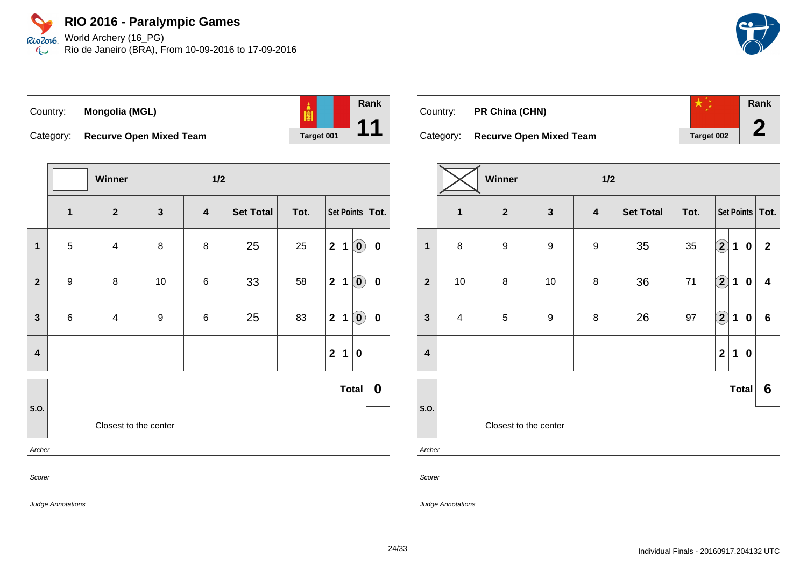Rio2o16. World Archery (16\_PG) Rio de Janeiro (BRA), From 10-09-2016 to 17-09-2016  $\infty$ 



| $\vert$ Country: | Mongolia (MGL)                    | $\frac{1}{\left \frac{1}{2}\right }$ |
|------------------|-----------------------------------|--------------------------------------|
|                  | Category: Recurve Open Mixed Team | Target 001                           |

|                         |                         | Winner                   |                  | $1/2$                   |           |      |                |             |                                                |                   |
|-------------------------|-------------------------|--------------------------|------------------|-------------------------|-----------|------|----------------|-------------|------------------------------------------------|-------------------|
|                         | $\overline{\mathbf{1}}$ | $\overline{\mathbf{2}}$  | $\mathbf{3}$     | $\overline{\mathbf{4}}$ | Set Total | Tot. |                |             |                                                | Set Points   Tot. |
| $\mathbf 1$             | $\mathbf 5$             | $\overline{\mathcal{A}}$ | $\bf 8$          | 8                       | 25        | 25   | $\mathbf{2}$   | 1           | $\left( \begin{matrix} 0 \end{matrix} \right)$ | $\pmb{0}$         |
| $\overline{\mathbf{2}}$ | $\boldsymbol{9}$        | 8                        | $10$             | $\,6$                   | 33        | 58   | $\mathbf{2}$   | $\mathbf 1$ | $\left( \mathbf{0}\right)$                     | $\mathbf 0$       |
| $\mathbf{3}$            | 6                       | $\overline{\mathbf{4}}$  | $\boldsymbol{9}$ | $\,6\,$                 | 25        | 83   | $\mathbf{2}$   | 1           | $\left( \mathbf{0}\right)$                     | $\pmb{0}$         |
| $\overline{\mathbf{4}}$ |                         |                          |                  |                         |           |      | $\overline{2}$ | 1           | $\boldsymbol{0}$                               |                   |
|                         |                         |                          |                  |                         |           |      |                |             | <b>Total</b>                                   | 0                 |
| S.O.                    |                         | Closest to the center    |                  |                         |           |      |                |             |                                                |                   |
| Archer                  |                         |                          |                  |                         |           |      |                |             |                                                |                   |
| Scorer                  |                         |                          |                  |                         |           |      |                |             |                                                |                   |

| Country:  | <b>PR China (CHN)</b>          |                   | Rank |
|-----------|--------------------------------|-------------------|------|
| Category: | <b>Recurve Open Mixed Team</b> | <b>Target 002</b> |      |

|                         |                         | Winner                |                  | 1/2                     |                  |      |                            |             |              |                         |
|-------------------------|-------------------------|-----------------------|------------------|-------------------------|------------------|------|----------------------------|-------------|--------------|-------------------------|
|                         | $\mathbf{1}$            | $\mathbf{2}$          | $\mathbf{3}$     | $\overline{\mathbf{4}}$ | <b>Set Total</b> | Tot. |                            |             |              | Set Points   Tot.       |
| $\overline{\mathbf{1}}$ | $\bf 8$                 | $\boldsymbol{9}$      | $\boldsymbol{9}$ | $\boldsymbol{9}$        | 35               | 35   | $\bf{(2)}$                 | $\mathbf 1$ | $\pmb{0}$    | $\mathbf{2}$            |
| $\overline{\mathbf{2}}$ | $10$                    | $\bf8$                | $10$             | $\,8\,$                 | 36               | $71$ | $\left( \mathbf{2}\right)$ | $\mathbf 1$ | $\bf{0}$     | $\overline{\mathbf{4}}$ |
| $\mathbf{3}$            | $\overline{\mathbf{4}}$ | 5                     | $\boldsymbol{9}$ | $\bf 8$                 | 26               | 97   | $\Large{\textbf{2}}$       | 1           | $\mathbf 0$  | $6\phantom{a}$          |
| $\overline{\mathbf{4}}$ |                         |                       |                  |                         |                  |      | $\overline{\mathbf{2}}$    | $\mathbf 1$ | 0            |                         |
|                         |                         |                       |                  |                         |                  |      |                            |             | <b>Total</b> | $6\phantom{1}6$         |
| S.O.                    |                         | Closest to the center |                  |                         |                  |      |                            |             |              |                         |
| Archar                  |                         |                       |                  |                         |                  |      |                            |             |              |                         |

Archer

Scorer

Judge Annotations

Judge Annotations

**Rank**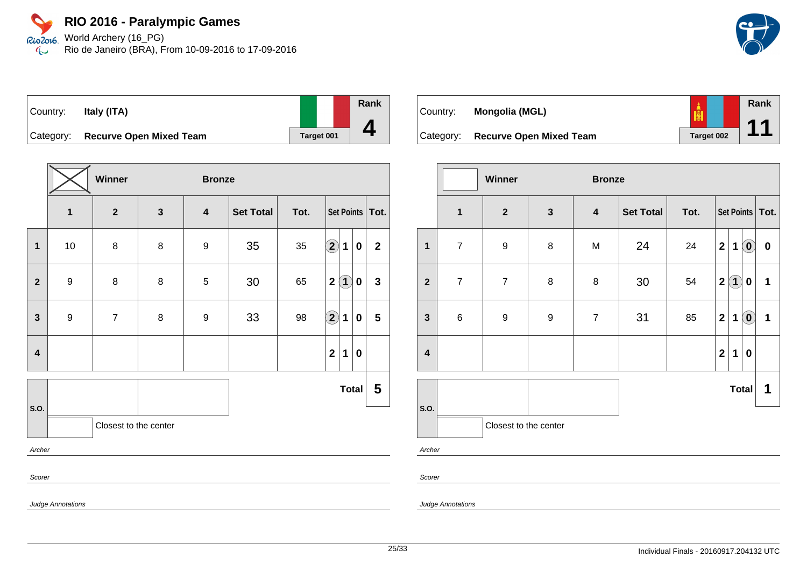Rio2o16 World Archery (16\_PG) Rio de Janeiro (BRA), From 10-09-2016 to 17-09-2016  $\infty$ 

| Country:  | Italy (ITA)                    |  |            |  |
|-----------|--------------------------------|--|------------|--|
| Category: | <b>Recurve Open Mixed Team</b> |  | Target 001 |  |

|                         |                          | Winner                  |              | <b>Bronze</b>           |                  |      |                                               |              |
|-------------------------|--------------------------|-------------------------|--------------|-------------------------|------------------|------|-----------------------------------------------|--------------|
|                         | $\mathbf{1}$             | $\overline{\mathbf{2}}$ | $\mathbf{3}$ | $\overline{\mathbf{4}}$ | <b>Set Total</b> | Tot. | Set Points   Tot.                             |              |
| $\mathbf{1}$            | 10                       | 8                       | 8            | 9                       | 35               | 35   | $\bigcirc \!\! 2$<br>$\mathbf 1$<br>$\pmb{0}$ | $\mathbf 2$  |
| $\mathbf{2}$            | $\boldsymbol{9}$         | 8                       | 8            | $\mathbf 5$             | 30               | 65   | $\mathbf 2$<br>$\bf(1)$<br>0                  | $\mathbf{3}$ |
| $\mathbf{3}$            | $\boldsymbol{9}$         | $\overline{7}$          | 8            | $\boldsymbol{9}$        | 33               | 98   | $\Large 2$<br>1<br>0                          | 5            |
| $\overline{\mathbf{4}}$ |                          |                         |              |                         |                  |      | $\overline{2}$<br>1<br>0                      |              |
|                         |                          |                         |              |                         |                  |      | <b>Total</b>                                  | 5            |
| S.O.                    |                          | Closest to the center   |              |                         |                  |      |                                               |              |
| Archer                  |                          |                         |              |                         |                  |      |                                               |              |
| Scorer                  |                          |                         |              |                         |                  |      |                                               |              |
|                         | <b>Judge Annotations</b> |                         |              |                         |                  |      |                                               |              |

| Country:  | Mongolia (MGL)                 |                   | Rank<br>$\begin{array}{c} \n 1 \n \end{array}$ |
|-----------|--------------------------------|-------------------|------------------------------------------------|
| Category: | <b>Recurve Open Mixed Team</b> | <b>Target 002</b> |                                                |

|                         |                | <b>Winner</b>         |                  | <b>Bronze</b>    |                  |      |              |              |                                                |                   |
|-------------------------|----------------|-----------------------|------------------|------------------|------------------|------|--------------|--------------|------------------------------------------------|-------------------|
|                         | $\mathbf{1}$   | $\mathbf{2}$          | $\mathbf{3}$     | $\boldsymbol{4}$ | <b>Set Total</b> | Tot. |              |              |                                                | Set Points   Tot. |
| $\mathbf{1}$            | $\overline{7}$ | 9                     | $\bf 8$          | M                | 24               | 24   | $\mathbf 2$  | $\mathbf 1$  | $\odot$                                        | $\pmb{0}$         |
| $\mathbf{2}$            | $\overline{7}$ | $\overline{7}$        | 8                | 8                | $30\,$           | 54   | $\mathbf 2$  | $\bf(1)$     | $\boldsymbol{0}$                               | 1                 |
| $\mathbf{3}$            | $\,6\,$        | 9                     | $\boldsymbol{9}$ | $\overline{7}$   | 31               | 85   | $\mathbf{2}$ | 1            | $\left( \begin{matrix} 0 \end{matrix} \right)$ | 1                 |
| $\overline{\mathbf{4}}$ |                |                       |                  |                  |                  |      | $\mathbf 2$  | 1            | $\bf{0}$                                       |                   |
|                         |                |                       |                  |                  |                  |      |              | <b>Total</b> |                                                | 1                 |
| S.O.                    |                | Closest to the center |                  |                  |                  |      |              |              |                                                |                   |
| Archer                  |                |                       |                  |                  |                  |      |              |              |                                                |                   |
|                         |                |                       |                  |                  |                  |      |              |              |                                                |                   |
| Scorer                  |                |                       |                  |                  |                  |      |              |              |                                                |                   |

Judge Annotations





**Rank**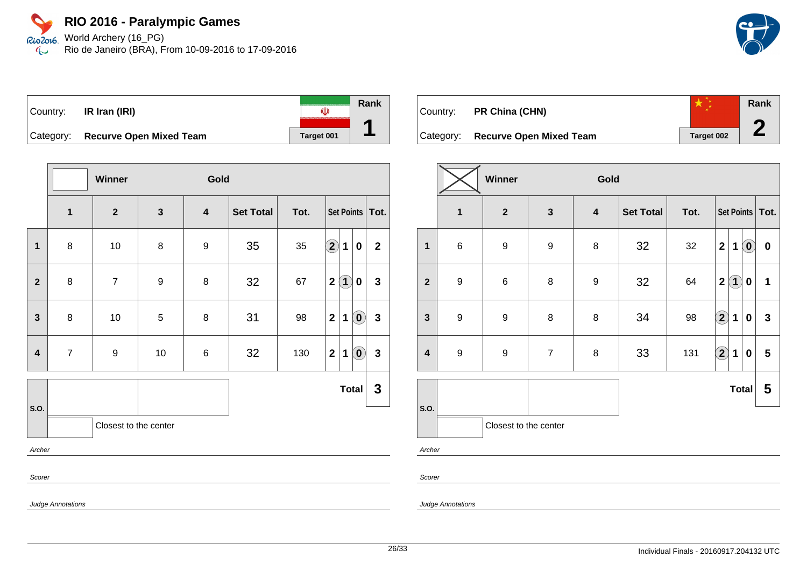Rio2o16 World Archery (16\_PG) Rio de Janeiro (BRA), From 10-09-2016 to 17-09-2016  $\infty$ 

|  | $\vert$ Country: <b>IR Iran (IRI)</b> |            | Rank |
|--|---------------------------------------|------------|------|
|  | Category: Recurve Open Mixed Team     | Target 001 |      |

|                         | Winner<br>Gold           |                       |              |                         |                  |      |                                                  |              |
|-------------------------|--------------------------|-----------------------|--------------|-------------------------|------------------|------|--------------------------------------------------|--------------|
|                         | $\mathbf{1}$             | $\boldsymbol{2}$      | $\mathbf{3}$ | $\overline{\mathbf{4}}$ | <b>Set Total</b> | Tot. | Set Points   Tot.                                |              |
| $\mathbf 1$             | 8                        | 10                    | $\bf 8$      | $\boldsymbol{9}$        | 35               | 35   | $\Large{\textbf{2}}$<br>$\mathbf{1}$<br>0        | $\mathbf{2}$ |
| $\mathbf{2}$            | 8                        | $\overline{7}$        | 9            | 8                       | 32               | 67   | $\bf(1)$<br>$\mathbf{2}$<br>0                    | $\mathbf{3}$ |
| $\mathbf{3}$            | 8                        | $10$                  | $\,$ 5 $\,$  | 8                       | 31               | 98   | $\mathbf{2}$<br>$\left( \textbf{0} \right)$<br>1 | $\mathbf{3}$ |
| $\overline{\mathbf{4}}$ | $\overline{7}$           | $\boldsymbol{9}$      | 10           | 6                       | 32               | 130  | $\mathbf{2}$<br>$\left( \mathbf{0}\right)$<br>1  | $\mathbf{3}$ |
|                         |                          |                       |              |                         |                  |      | <b>Total</b>                                     | 3            |
| S.O.                    |                          | Closest to the center |              |                         |                  |      |                                                  |              |
| Archer                  |                          |                       |              |                         |                  |      |                                                  |              |
|                         | Scorer                   |                       |              |                         |                  |      |                                                  |              |
|                         | <b>Judge Annotations</b> |                       |              |                         |                  |      |                                                  |              |

| Country:  | PR China (CHN)                 |            | Rank |
|-----------|--------------------------------|------------|------|
| Category: | <b>Recurve Open Mixed Team</b> | Target 002 |      |

|                         | Winner<br>Gold   |                       |                  |                  |                  |      |                            |                   |                            |                   |
|-------------------------|------------------|-----------------------|------------------|------------------|------------------|------|----------------------------|-------------------|----------------------------|-------------------|
|                         | $\mathbf{1}$     | $\overline{2}$        | $\mathbf{3}$     | $\boldsymbol{4}$ | <b>Set Total</b> | Tot. |                            |                   |                            | Set Points   Tot. |
| $\mathbf{1}$            | $\,6\,$          | $\boldsymbol{9}$      | $\boldsymbol{9}$ | 8                | 32               | 32   | $\overline{2}$             | 1                 | $\left( \mathbf{0}\right)$ | $\bf{0}$          |
| $\overline{\mathbf{2}}$ | $\boldsymbol{9}$ | $\,6$                 | $\bf 8$          | $\boldsymbol{9}$ | 32               | 64   | $\overline{2}$             | $\left( 1\right)$ | $\pmb{0}$                  | 1                 |
| $\mathbf{3}$            | $\boldsymbol{9}$ | $\boldsymbol{9}$      | $\bf 8$          | 8                | 34               | 98   | $\left( \mathbf{2}\right)$ | 1                 | 0                          | $\mathbf{3}$      |
| $\overline{\mathbf{4}}$ | $\boldsymbol{9}$ | $\boldsymbol{9}$      | $\overline{7}$   | 8                | 33               | 131  | $\boxed{2}$                | 1                 | $\bf{0}$                   | 5                 |
|                         |                  |                       |                  |                  |                  |      |                            | <b>Total</b>      |                            | 5                 |
| S.O.                    |                  | Closest to the center |                  |                  |                  |      |                            |                   |                            |                   |
|                         | Archer           |                       |                  |                  |                  |      |                            |                   |                            |                   |

Scorer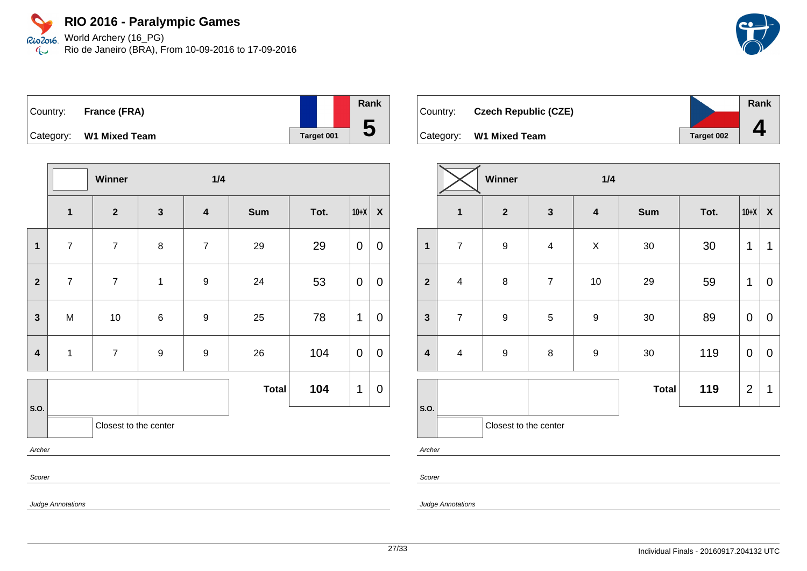Rio2o16 World Archery (16\_PG) Rio de Janeiro (BRA), From 10-09-2016 to 17-09-2016  $\infty$ 



| $\vert$ Country: | France (FRA)            |            | Rank |
|------------------|-------------------------|------------|------|
|                  |                         |            |      |
|                  | Category: W1 Mixed Team | Target 001 | b    |

|                         |                | Winner                |                  | 1/4                     |              |      |             |                  |
|-------------------------|----------------|-----------------------|------------------|-------------------------|--------------|------|-------------|------------------|
|                         | $\mathbf{1}$   | $\overline{2}$        | $\mathbf{3}$     | $\overline{\mathbf{4}}$ | Sum          | Tot. | $10+X$      | $\boldsymbol{X}$ |
| $\mathbf{1}$            | $\overline{7}$ | $\boldsymbol{7}$      | $\bf 8$          | $\overline{7}$          | 29           | 29   | $\mathbf 0$ | $\boldsymbol{0}$ |
| $\overline{2}$          | $\overline{7}$ | $\overline{7}$        | $\mathbf{1}$     | $\boldsymbol{9}$        | 24           | 53   | $\mathbf 0$ | $\mathbf 0$      |
| $\mathbf{3}$            | M              | $10\,$                | $\,6\,$          | $\boldsymbol{9}$        | 25           | 78   | $\mathbf 1$ | $\overline{0}$   |
| $\overline{\mathbf{4}}$ | $\mathbf{1}$   | $\boldsymbol{7}$      | $\boldsymbol{9}$ | $\boldsymbol{9}$        | 26           | 104  | $\mathbf 0$ | $\overline{0}$   |
|                         |                |                       |                  |                         | <b>Total</b> | 104  | 1           | 0                |
| S.O.                    |                | Closest to the center |                  |                         |              |      |             |                  |
| Archer                  |                |                       |                  |                         |              |      |             |                  |
| Scorer                  |                |                       |                  |                         |              |      |             |                  |

| Country: | <b>Czech Republic (CZE)</b> |            | Rank |
|----------|-----------------------------|------------|------|
|          |                             |            |      |
|          | Category: W1 Mixed Team     | Target 002 |      |

|                         |                         | Winner                |                         | 1/4                     |              |      |                |                    |
|-------------------------|-------------------------|-----------------------|-------------------------|-------------------------|--------------|------|----------------|--------------------|
|                         | $\mathbf 1$             | $\mathbf{2}$          | $\mathbf{3}$            | $\overline{\mathbf{4}}$ | <b>Sum</b>   | Tot. | $10+X$         | $\pmb{\mathsf{X}}$ |
| $\mathbf{1}$            | $\overline{7}$          | $\boldsymbol{9}$      | $\overline{\mathbf{4}}$ | X                       | $30\,$       | 30   | 1              | 1                  |
| $\overline{2}$          | $\overline{\mathbf{4}}$ | 8                     | $\overline{7}$          | 10                      | 29           | 59   | 1              | $\mathbf 0$        |
| $\mathbf{3}$            | $\overline{7}$          | 9                     | $\sqrt{5}$              | $\boldsymbol{9}$        | $30\,$       | 89   | $\mathbf 0$    | $\mathbf 0$        |
| $\overline{\mathbf{4}}$ | $\overline{\mathbf{4}}$ | 9                     | $\bf 8$                 | $\boldsymbol{9}$        | $30\,$       | 119  | $\mathbf 0$    | $\mathbf 0$        |
|                         |                         |                       |                         |                         | <b>Total</b> | 119  | $\overline{2}$ | 1                  |
| S.O.                    |                         |                       |                         |                         |              |      |                |                    |
|                         |                         | Closest to the center |                         |                         |              |      |                |                    |

Judge Annotations

Judge Annotations

Archer

Scorer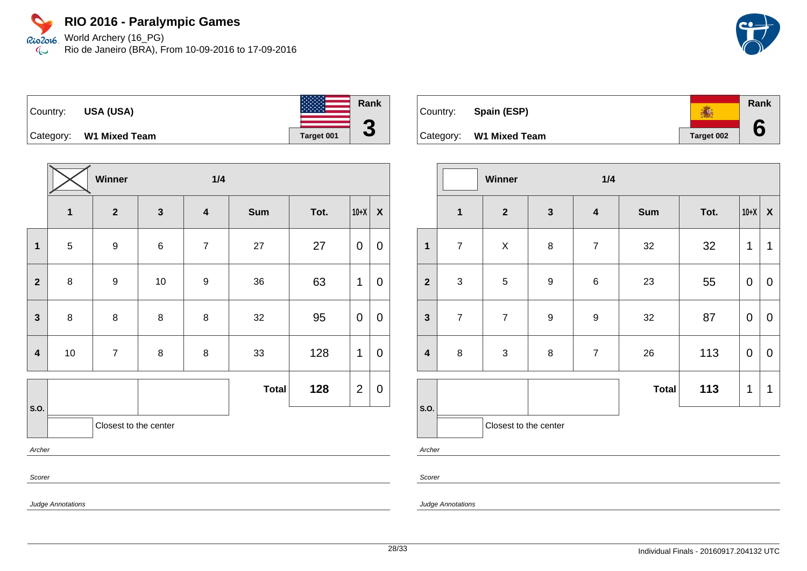Rio2o16 World Archery (16\_PG) Rio de Janeiro (BRA), From 10-09-2016 to 17-09-2016  $\infty$ 





|                         | Winner<br>1/4 |                       |              |                         |              |      |                |                    |
|-------------------------|---------------|-----------------------|--------------|-------------------------|--------------|------|----------------|--------------------|
|                         | $\mathbf{1}$  | $\mathbf{2}$          | $\mathbf{3}$ | $\overline{\mathbf{4}}$ | Sum          | Tot. | $10+X$         | $\pmb{\mathsf{X}}$ |
| $\mathbf 1$             | $\sqrt{5}$    | $\boldsymbol{9}$      | $\,6$        | $\overline{7}$          | 27           | 27   | 0              | $\mathbf 0$        |
| $\overline{2}$          | $\bf 8$       | $\boldsymbol{9}$      | 10           | $\boldsymbol{9}$        | 36           | 63   | 1              | $\mathbf 0$        |
| $\mathbf{3}$            | $\bf 8$       | 8                     | $\bf 8$      | 8                       | 32           | 95   | 0              | $\pmb{0}$          |
| $\overline{\mathbf{4}}$ | $10\,$        | $\overline{7}$        | $\bf 8$      | 8                       | 33           | 128  | 1              | $\pmb{0}$          |
|                         |               |                       |              |                         | <b>Total</b> | 128  | $\overline{2}$ | $\pmb{0}$          |
| S.O.                    |               | Closest to the center |              |                         |              |      |                |                    |
| Archer                  |               |                       |              |                         |              |      |                |                    |
| Scorer                  |               |                       |              |                         |              |      |                |                    |

| Country: | Spain (ESP)             |            | Rank |
|----------|-------------------------|------------|------|
|          | Category: W1 Mixed Team | Target 002 |      |

|                         | Winner<br>1/4           |                       |                  |                  |              |      |             |                  |
|-------------------------|-------------------------|-----------------------|------------------|------------------|--------------|------|-------------|------------------|
|                         | $\overline{\mathbf{1}}$ | $\overline{2}$        | $\mathbf{3}$     | $\boldsymbol{4}$ | <b>Sum</b>   | Tot. | $10+X$      | $\boldsymbol{X}$ |
| $\mathbf{1}$            | $\overline{7}$          | $\pmb{\times}$        | 8                | $\overline{7}$   | 32           | 32   | 1           | 1                |
| $\overline{\mathbf{2}}$ | $\mathbf{3}$            | $\sqrt{5}$            | $\boldsymbol{9}$ | $\,6$            | 23           | 55   | $\mathbf 0$ | $\pmb{0}$        |
| $\mathbf{3}$            | $\overline{7}$          | $\overline{7}$        | $\boldsymbol{9}$ | $\boldsymbol{9}$ | 32           | 87   | $\mathbf 0$ | $\mathbf 0$      |
| $\overline{\mathbf{4}}$ | $\bf 8$                 | 3                     | 8                | $\boldsymbol{7}$ | 26           | 113  | $\mathbf 0$ | $\mathbf 0$      |
|                         |                         |                       |                  |                  | <b>Total</b> | 113  | 1           | 1                |
| S.O.                    |                         | Closest to the center |                  |                  |              |      |             |                  |

Archer

Scorer

Judge Annotations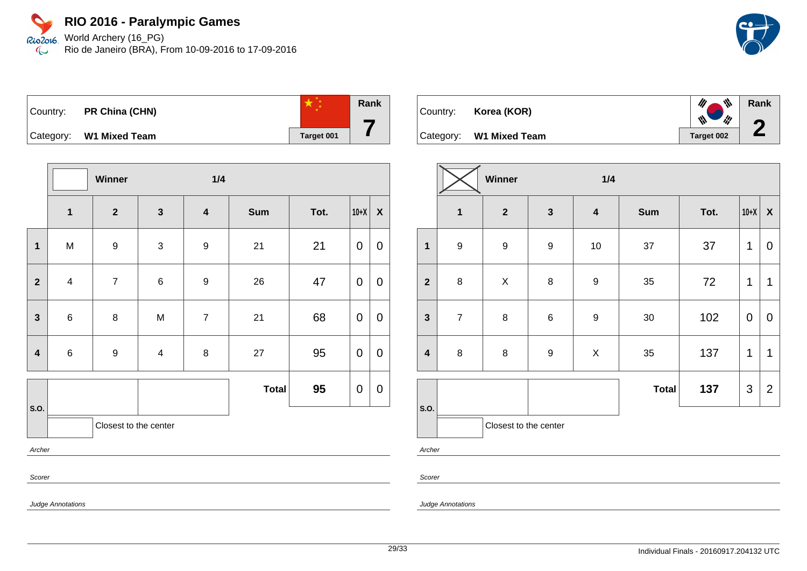Rio2o16 World Archery (16\_PG) Rio de Janeiro (BRA), From 10-09-2016 to 17-09-2016  $\infty$ 



| Country: PR China (CHN) |            | Rank |
|-------------------------|------------|------|
| Category: W1 Mixed Team | Target 001 |      |

|                         |                | Winner                |                | 1/4                     |              |      |                |                  |
|-------------------------|----------------|-----------------------|----------------|-------------------------|--------------|------|----------------|------------------|
|                         | $\mathbf{1}$   | $\mathbf{2}$          | $\mathbf{3}$   | $\overline{\mathbf{4}}$ | <b>Sum</b>   | Tot. | $10+X$         | $\pmb{\chi}$     |
| $\overline{\mathbf{1}}$ | M              | $\boldsymbol{9}$      | $\mathfrak{S}$ | 9                       | 21           | 21   | $\overline{0}$ | $\mathbf 0$      |
| $\overline{\mathbf{2}}$ | $\overline{4}$ | $\boldsymbol{7}$      | $\,6$          | $\boldsymbol{9}$        | 26           | 47   | $\mathbf 0$    | $\boldsymbol{0}$ |
| $\overline{\mathbf{3}}$ | $\,6\,$        | $\bf 8$               | M              | $\overline{7}$          | 21           | 68   | $\mathbf 0$    | $\mathbf 0$      |
| $\overline{\mathbf{4}}$ | $\,6\,$        | $\boldsymbol{9}$      | $\overline{4}$ | 8                       | 27           | 95   | $\mathbf 0$    | $\mathbf 0$      |
|                         |                |                       |                |                         | <b>Total</b> | 95   | $\mathbf 0$    | $\boldsymbol{0}$ |
| S.O.                    |                | Closest to the center |                |                         |              |      |                |                  |
| Archer                  |                |                       |                |                         |              |      |                |                  |
| Scorer                  |                |                       |                |                         |              |      |                |                  |

| Country: | Korea (KOR)             | 11 、 、、、、、<br>$\begin{array}{c c c c c} \hline \mathbf{W} & \mathbf{W} & \mathbf{W} & \mathbf{W} \end{array}$ | Rank |
|----------|-------------------------|---------------------------------------------------------------------------------------------------------------|------|
|          | Category: W1 Mixed Team | Target 002                                                                                                    |      |

|                         | Winner<br>1/4    |                       |                  |                  |              |      |             |                           |
|-------------------------|------------------|-----------------------|------------------|------------------|--------------|------|-------------|---------------------------|
|                         | $\mathbf{1}$     | $\mathbf{2}$          | $\mathbf{3}$     | $\boldsymbol{4}$ | <b>Sum</b>   | Tot. | $10+X$      | $\boldsymbol{\mathsf{X}}$ |
| $\mathbf 1$             | $\boldsymbol{9}$ | $\boldsymbol{9}$      | $\boldsymbol{9}$ | $10$             | 37           | 37   | 1           | $\mathbf 0$               |
| $\overline{2}$          | $\bf 8$          | $\mathsf X$           | $\bf 8$          | $\boldsymbol{9}$ | 35           | 72   | 1           | $\mathbf 1$               |
| $\mathbf{3}$            | $\overline{7}$   | $\bf 8$               | $\,6$            | $\boldsymbol{9}$ | $30\,$       | 102  | $\mathbf 0$ | $\mathbf 0$               |
| $\overline{\mathbf{4}}$ | $\bf 8$          | $\bf 8$               | $\boldsymbol{9}$ | $\pmb{\times}$   | 35           | 137  | $\mathbf 1$ | 1                         |
|                         |                  |                       |                  |                  | <b>Total</b> | 137  | 3           | $\overline{2}$            |
| S.O.                    |                  | Closest to the center |                  |                  |              |      |             |                           |

Archer

Scorer

Judge Annotations

Judge Annotations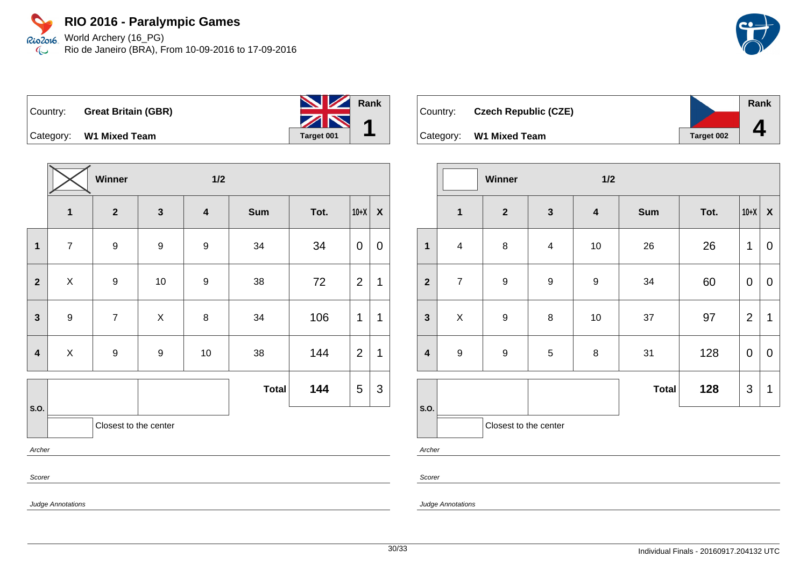



Country: **Great Britain (GBR)** Category: **W1 Mixed Team Target 001 Rank 1**

**Winner 1/2 1 2 3 4 Sum Tot. 10+X X 1** | 7 | 9 | 9 | 9 | 34 | 34 |0 |0 **2**  $\begin{array}{|c|c|c|c|c|c|}\hline \textbf{2} & \textbf{3} & \textbf{4} & \textbf{5} & \textbf{6} & \textbf{7} & \textbf{8} & \textbf{8} & \textbf{9} & \textbf{10} & \textbf{10} & \textbf{9} & \textbf{9} & \textbf{38} & \textbf{10} & \textbf{72} & \textbf{12} & \textbf{11} & \textbf{10} & \textbf{10} & \textbf{10} & \textbf{10} & \textbf{10} & \textbf{10} & \textbf{10} & \textbf{10}$ **3** | 9 | 7 | X | 8 | 34 | 106 |1 |1 **4** | X | 9 | 9 | 10 | 38 | 144 |2 |1 **S.O. Total 144**  $|5|3$ Closest to the center Archer Scorer

| Country: | <b>Czech Republic (CZE)</b>    |            | <b>Rank</b> |
|----------|--------------------------------|------------|-------------|
|          | Category: <b>W1 Mixed Team</b> | Target 002 |             |

|                                 |                         | Winner                |                         | 1/2                     |              |      |                |                    |
|---------------------------------|-------------------------|-----------------------|-------------------------|-------------------------|--------------|------|----------------|--------------------|
|                                 | $\mathbf{1}$            | $\mathbf{2}$          | $\mathbf{3}$            | $\overline{\mathbf{4}}$ | <b>Sum</b>   | Tot. | $10+X$         | $\pmb{\mathsf{X}}$ |
| $\mathbf{1}$                    | $\overline{\mathbf{4}}$ | 8                     | $\overline{\mathbf{4}}$ | 10                      | 26           | 26   | 1              | 0                  |
| $\overline{\mathbf{2}}$         | $\overline{7}$          | $\boldsymbol{9}$      | $\boldsymbol{9}$        | $\boldsymbol{9}$        | 34           | 60   | $\mathbf 0$    | $\pmb{0}$          |
| $\mathbf{3}$                    | $\pmb{\times}$          | $\boldsymbol{9}$      | 8                       | $10$                    | 37           | 97   | $\overline{2}$ | 1                  |
| $\overline{\mathbf{4}}$         | $\boldsymbol{9}$        | $\boldsymbol{9}$      | $\sqrt{5}$              | 8                       | 31           | 128  | $\mathbf 0$    | $\pmb{0}$          |
|                                 |                         |                       |                         |                         | <b>Total</b> | 128  | $\mathfrak{S}$ | 1                  |
| S.O.                            |                         | Closest to the center |                         |                         |              |      |                |                    |
| $A \rightarrow B \rightarrow B$ |                         |                       |                         |                         |              |      |                |                    |

Archer

Scorer

Judge Annotations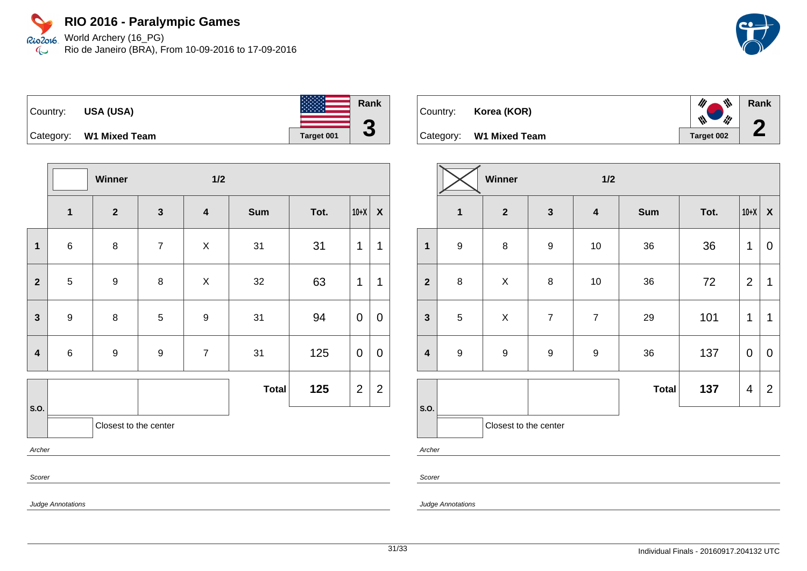Rio2o16 World Archery (16\_PG) Rio de Janeiro (BRA), From 10-09-2016 to 17-09-2016  $\infty$ 



**Rank**

**2**

| Country: | <b>USA (USA)</b>        |            | Rank |
|----------|-------------------------|------------|------|
|          | Category: W1 Mixed Team | Target 001 | U    |

|                         |                  | Winner                  |                         | $1/2$                   |              |      |                |                    |
|-------------------------|------------------|-------------------------|-------------------------|-------------------------|--------------|------|----------------|--------------------|
|                         | 1                | $\overline{\mathbf{2}}$ | $\overline{\mathbf{3}}$ | $\overline{\mathbf{4}}$ | <b>Sum</b>   | Tot. | $10+X$         | $\pmb{\mathsf{X}}$ |
| $\overline{\mathbf{1}}$ | $\,6\,$          | $\bf 8$                 | $\overline{7}$          | $\mathsf X$             | 31           | 31   | 1              | 1                  |
| $\overline{2}$          | 5                | $\boldsymbol{9}$        | 8                       | $\mathsf X$             | 32           | 63   | 1              | 1                  |
| $\mathbf{3}$            | $\boldsymbol{9}$ | 8                       | 5                       | $\boldsymbol{9}$        | 31           | 94   | 0              | $\overline{0}$     |
| $\overline{\mathbf{4}}$ | $\,6$            | $\boldsymbol{9}$        | $\boldsymbol{9}$        | $\boldsymbol{7}$        | 31           | 125  | 0              | 0                  |
|                         |                  |                         |                         |                         | <b>Total</b> | 125  | $\overline{2}$ | $\overline{2}$     |
| S.O.                    |                  | Closest to the center   |                         |                         |              |      |                |                    |
| Archer                  |                  |                         |                         |                         |              |      |                |                    |
| Scorer                  |                  |                         |                         |                         |              |      |                |                    |

| Country: <b>Korea (KOR)</b> | $\mathscr{U}$ $\mathscr{V}$<br>$\mathbb{N}$ |
|-----------------------------|---------------------------------------------|
| Category: W1 Mixed Team     | Target 002                                  |

|                         | Winner           |                       |                  | 1/2                     |              |      |                |                    |
|-------------------------|------------------|-----------------------|------------------|-------------------------|--------------|------|----------------|--------------------|
|                         | $\mathbf 1$      | $\mathbf{2}$          | $\mathbf{3}$     | $\overline{\mathbf{4}}$ | <b>Sum</b>   | Tot. | $10+X$         | $\pmb{\mathsf{X}}$ |
| $\mathbf{1}$            | $\boldsymbol{9}$ | $\bf 8$               | $\boldsymbol{9}$ | $10$                    | 36           | 36   | 1              | $\mathbf 0$        |
| $\overline{2}$          | 8                | $\mathsf X$           | $\bf 8$          | $10$                    | 36           | 72   | $\overline{2}$ | $\mathbf{1}$       |
| $\mathbf{3}$            | $\sqrt{5}$       | $\pmb{\times}$        | $\overline{7}$   | $\overline{7}$          | 29           | 101  | 1              | 1                  |
| $\overline{\mathbf{4}}$ | $\boldsymbol{9}$ | 9                     | $\boldsymbol{9}$ | $\boldsymbol{9}$        | 36           | 137  | $\mathbf 0$    | $\mathbf 0$        |
|                         |                  |                       |                  |                         | <b>Total</b> | 137  | $\overline{4}$ | $\overline{2}$     |
| S.O.                    |                  | Closest to the center |                  |                         |              |      |                |                    |

Archer

Scorer

Judge Annotations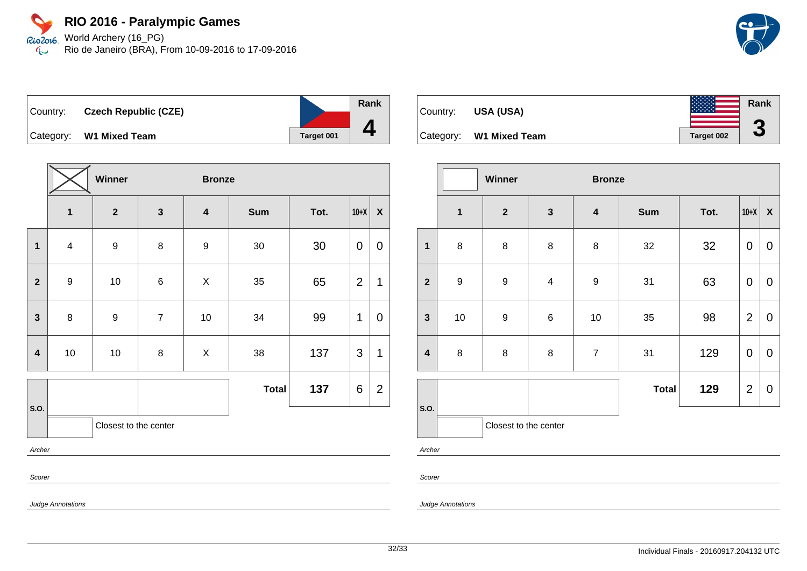Rio2o16 World Archery (16\_PG) Rio de Janeiro (BRA), From 10-09-2016 to 17-09-2016  $\infty$ 

| Country: Czech Republic (CZE) |            | <b>Rank</b> |
|-------------------------------|------------|-------------|
| Category: W1 Mixed Team       | Target 001 |             |

|                         | Winner<br><b>Bronze</b> |                       |                |                         |              |      |                |                           |
|-------------------------|-------------------------|-----------------------|----------------|-------------------------|--------------|------|----------------|---------------------------|
|                         | $\mathbf{1}$            | $\mathbf{2}$          | $\mathbf{3}$   | $\overline{\mathbf{4}}$ | Sum          | Tot. | $10+X$         | $\boldsymbol{\mathsf{X}}$ |
| $\mathbf 1$             | $\overline{\mathbf{4}}$ | $\boldsymbol{9}$      | $\bf 8$        | 9                       | $30\,$       | 30   | $\mathbf 0$    | $\mathbf 0$               |
| $\overline{\mathbf{2}}$ | $\boldsymbol{9}$        | 10                    | $\,6\,$        | $\pmb{\times}$          | 35           | 65   | $\overline{2}$ | 1                         |
| $\mathbf{3}$            | 8                       | 9                     | $\overline{7}$ | $10$                    | 34           | 99   | $\mathbf 1$    | $\overline{0}$            |
| $\overline{\mathbf{4}}$ | $10\,$                  | $10$                  | 8              | $\pmb{\times}$          | 38           | 137  | 3              | 1                         |
|                         |                         |                       |                |                         | <b>Total</b> | 137  | 6              | $\overline{2}$            |
| S.O.                    |                         | Closest to the center |                |                         |              |      |                |                           |
| Archer                  |                         |                       |                |                         |              |      |                |                           |
| Scorer                  |                         |                       |                |                         |              |      |                |                           |

| Country: | <b>USA (USA)</b>        |                   | Rank                  |
|----------|-------------------------|-------------------|-----------------------|
|          | Category: W1 Mixed Team | <b>Target 002</b> | $\blacktriangleright$ |

|                         | Winner                |              |                         |                         | <b>Bronze</b> |      |                |                    |  |
|-------------------------|-----------------------|--------------|-------------------------|-------------------------|---------------|------|----------------|--------------------|--|
|                         | $\mathbf{1}$          | $\mathbf{2}$ | $\mathbf{3}$            | $\overline{\mathbf{4}}$ | <b>Sum</b>    | Tot. | $10+X$         | $\pmb{\mathsf{X}}$ |  |
| $\mathbf{1}$            | 8                     | 8            | $\,8\,$                 | $\bf 8$                 | 32            | 32   | 0              | $\boldsymbol{0}$   |  |
| $\overline{2}$          | $\boldsymbol{9}$      | 9            | $\overline{\mathbf{4}}$ | $\boldsymbol{9}$        | 31            | 63   | 0              | $\pmb{0}$          |  |
| $\mathbf{3}$            | $10$                  | 9            | 6                       | $10$                    | $35\,$        | 98   | $\overline{2}$ | $\boldsymbol{0}$   |  |
| $\overline{\mathbf{4}}$ | $\bf 8$               | 8            | $\,8\,$                 | $\overline{7}$          | 31            | 129  | $\mathbf 0$    | $\mathbf 0$        |  |
|                         |                       |              |                         |                         | <b>Total</b>  | 129  | $\overline{2}$ | $\boldsymbol{0}$   |  |
| S.O.                    | Closest to the center |              |                         |                         |               |      |                |                    |  |
| Archer                  |                       |              |                         |                         |               |      |                |                    |  |

Scorer

Judge Annotations